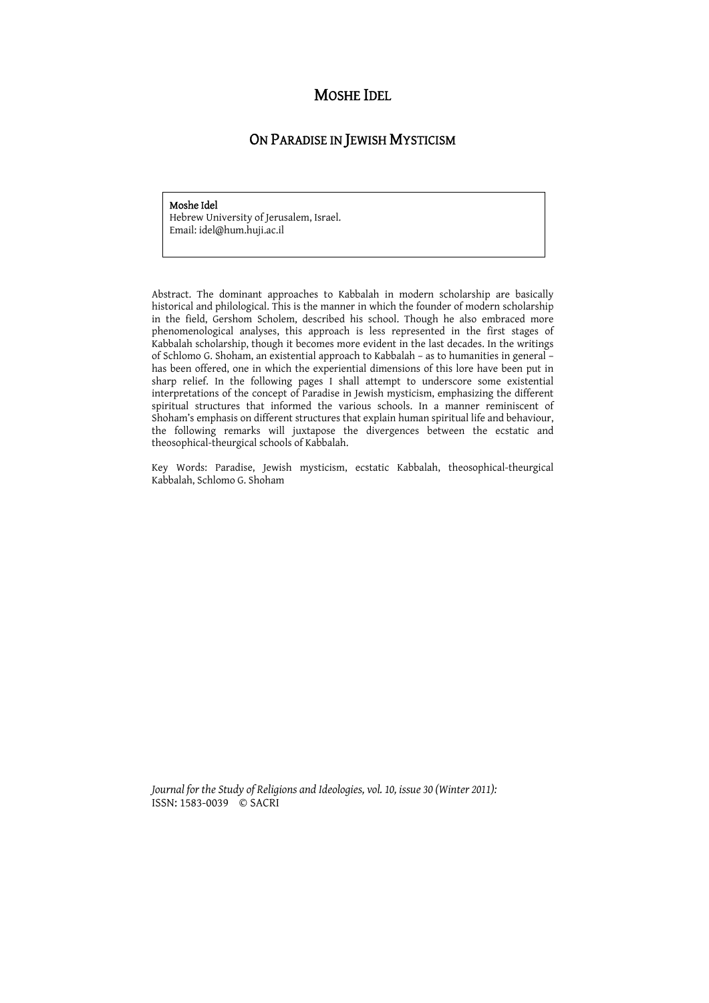# MOSHE IDEL

# ON PARADISE IN JEWISH MYSTICISM

#### Moshe Idel

Hebrew University of Jerusalem, Israel. Email: idel@hum.huji.ac.il

Abstract. The dominant approaches to Kabbalah in modern scholarship are basically historical and philological. This is the manner in which the founder of modern scholarship in the field, Gershom Scholem, described his school. Though he also embraced more phenomenological analyses, this approach is less represented in the first stages of Kabbalah scholarship, though it becomes more evident in the last decades. In the writings of Schlomo G. Shoham, an existential approach to Kabbalah – as to humanities in general – has been offered, one in which the experiential dimensions of this lore have been put in sharp relief. In the following pages I shall attempt to underscore some existential interpretations of the concept of Paradise in Jewish mysticism, emphasizing the different spiritual structures that informed the various schools. In a manner reminiscent of Shoham's emphasis on different structures that explain human spiritual life and behaviour, the following remarks will juxtapose the divergences between the ecstatic and theosophical-theurgical schools of Kabbalah.

Key Words: Paradise, Jewish mysticism, ecstatic Kabbalah, theosophical-theurgical Kabbalah, Schlomo G. Shoham

*Journal for the Study of Religions and Ideologies, vol. 10, issue 30 (Winter 2011):*  ISSN: 1583-0039 © SACRI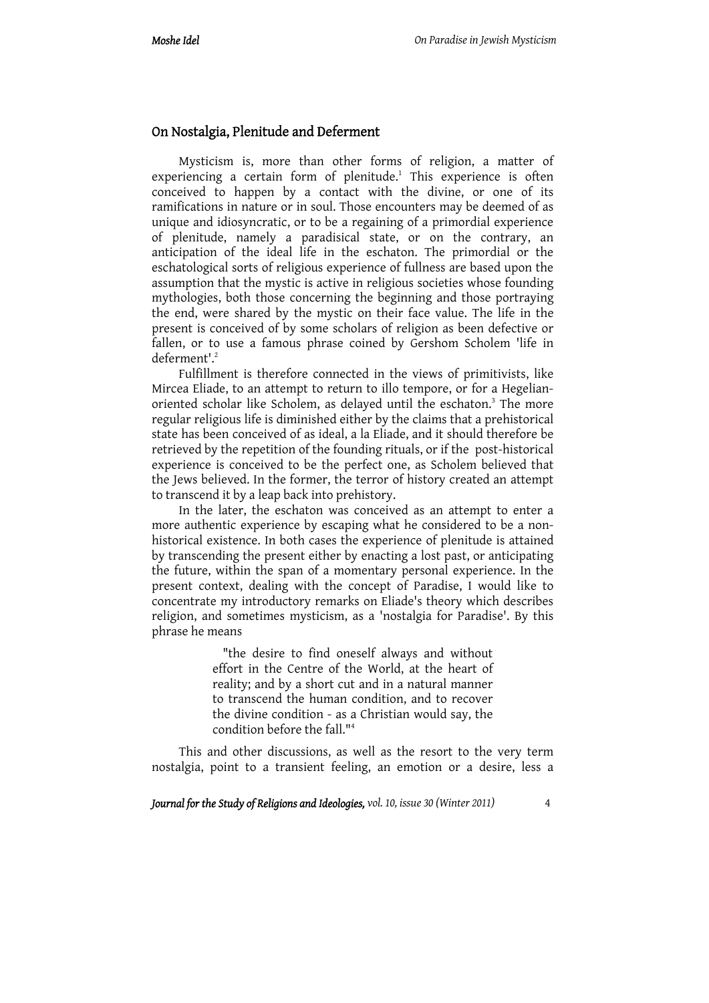### On Nostalgia, Plenitude and Deferment

Mysticism is, more than other forms of religion, a matter of experiencing a certain form of plenitude.<sup>1</sup> This experience is often conceived to happen by a contact with the divine, or one of its ramifications in nature or in soul. Those encounters may be deemed of as unique and idiosyncratic, or to be a regaining of a primordial experience of plenitude, namely a paradisical state, or on the contrary, an anticipation of the ideal life in the eschaton. The primordial or the eschatological sorts of religious experience of fullness are based upon the assumption that the mystic is active in religious societies whose founding mythologies, both those concerning the beginning and those portraying the end, were shared by the mystic on their face value. The life in the present is conceived of by some scholars of religion as been defective or fallen, or to use a famous phrase coined by Gershom Scholem 'life in deferment'.2

Fulfillment is therefore connected in the views of primitivists, like Mircea Eliade, to an attempt to return to illo tempore, or for a Hegelianoriented scholar like Scholem, as delayed until the eschaton.<sup>3</sup> The more regular religious life is diminished either by the claims that a prehistorical state has been conceived of as ideal, a la Eliade, and it should therefore be retrieved by the repetition of the founding rituals, or if the post-historical experience is conceived to be the perfect one, as Scholem believed that the Jews believed. In the former, the terror of history created an attempt to transcend it by a leap back into prehistory.

In the later, the eschaton was conceived as an attempt to enter a more authentic experience by escaping what he considered to be a nonhistorical existence. In both cases the experience of plenitude is attained by transcending the present either by enacting a lost past, or anticipating the future, within the span of a momentary personal experience. In the present context, dealing with the concept of Paradise, I would like to concentrate my introductory remarks on Eliade's theory which describes religion, and sometimes mysticism, as a 'nostalgia for Paradise'. By this phrase he means

> "the desire to find oneself always and without effort in the Centre of the World, at the heart of reality; and by a short cut and in a natural manner to transcend the human condition, and to recover the divine condition - as a Christian would say, the condition before the fall."4

This and other discussions, as well as the resort to the very term nostalgia, point to a transient feeling, an emotion or a desire, less a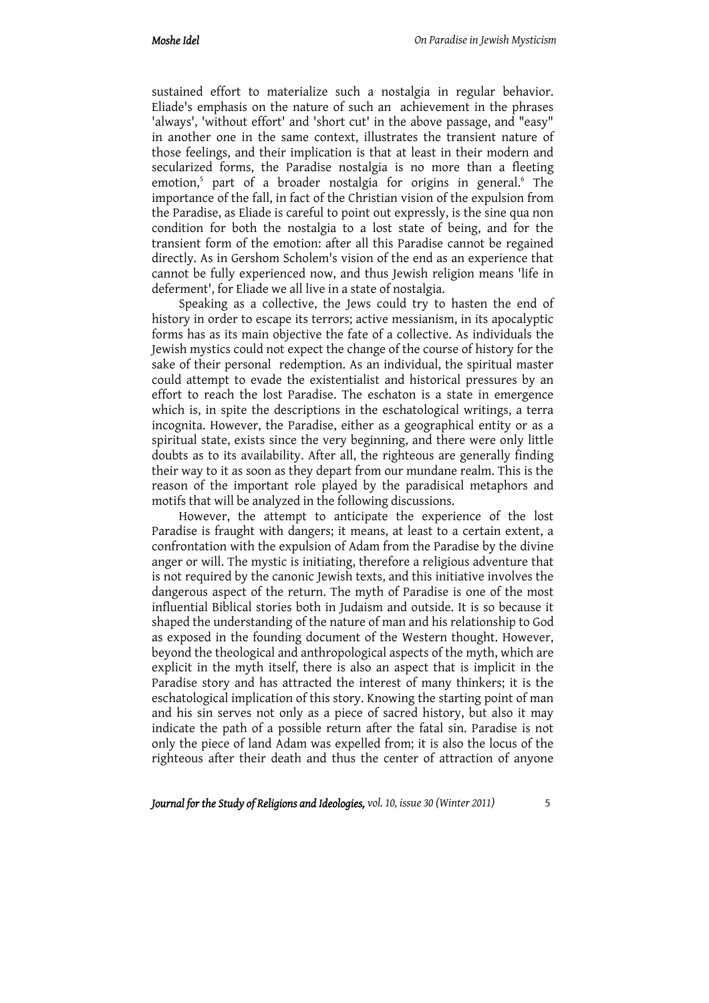sustained effort to materialize such a nostalgia in regular behavior. Eliade's emphasis on the nature of such an achievement in the phrases 'always', 'without effort' and 'short cut' in the above passage, and "easy" in another one in the same context, illustrates the transient nature of those feelings, and their implication is that at least in their modern and secularized forms, the Paradise nostalgia is no more than a fleeting emotion,<sup>5</sup> part of a broader nostalgia for origins in general.<sup>6</sup> The importance of the fall, in fact of the Christian vision of the expulsion from the Paradise, as Eliade is careful to point out expressly, is the sine qua non condition for both the nostalgia to a lost state of being, and for the transient form of the emotion: after all this Paradise cannot be regained directly. As in Gershom Scholem's vision of the end as an experience that cannot be fully experienced now, and thus Jewish religion means 'life in deferment', for Eliade we all live in a state of nostalgia.

Speaking as a collective, the Jews could try to hasten the end of history in order to escape its terrors; active messianism, in its apocalyptic forms has as its main objective the fate of a collective. As individuals the Jewish mystics could not expect the change of the course of history for the sake of their personal redemption. As an individual, the spiritual master could attempt to evade the existentialist and historical pressures by an effort to reach the lost Paradise. The eschaton is a state in emergence which is, in spite the descriptions in the eschatological writings, a terra incognita. However, the Paradise, either as a geographical entity or as a spiritual state, exists since the very beginning, and there were only little doubts as to its availability. After all, the righteous are generally finding their way to it as soon as they depart from our mundane realm. This is the reason of the important role played by the paradisical metaphors and motifs that will be analyzed in the following discussions.

However, the attempt to anticipate the experience of the lost Paradise is fraught with dangers; it means, at least to a certain extent, a confrontation with the expulsion of Adam from the Paradise by the divine anger or will. The mystic is initiating, therefore a religious adventure that is not required by the canonic Jewish texts, and this initiative involves the dangerous aspect of the return. The myth of Paradise is one of the most influential Biblical stories both in Judaism and outside. It is so because it shaped the understanding of the nature of man and his relationship to God as exposed in the founding document of the Western thought. However, beyond the theological and anthropological aspects of the myth, which are explicit in the myth itself, there is also an aspect that is implicit in the Paradise story and has attracted the interest of many thinkers; it is the eschatological implication of this story. Knowing the starting point of man and his sin serves not only as a piece of sacred history, but also it may indicate the path of a possible return after the fatal sin. Paradise is not only the piece of land Adam was expelled from; it is also the locus of the righteous after their death and thus the center of attraction of anyone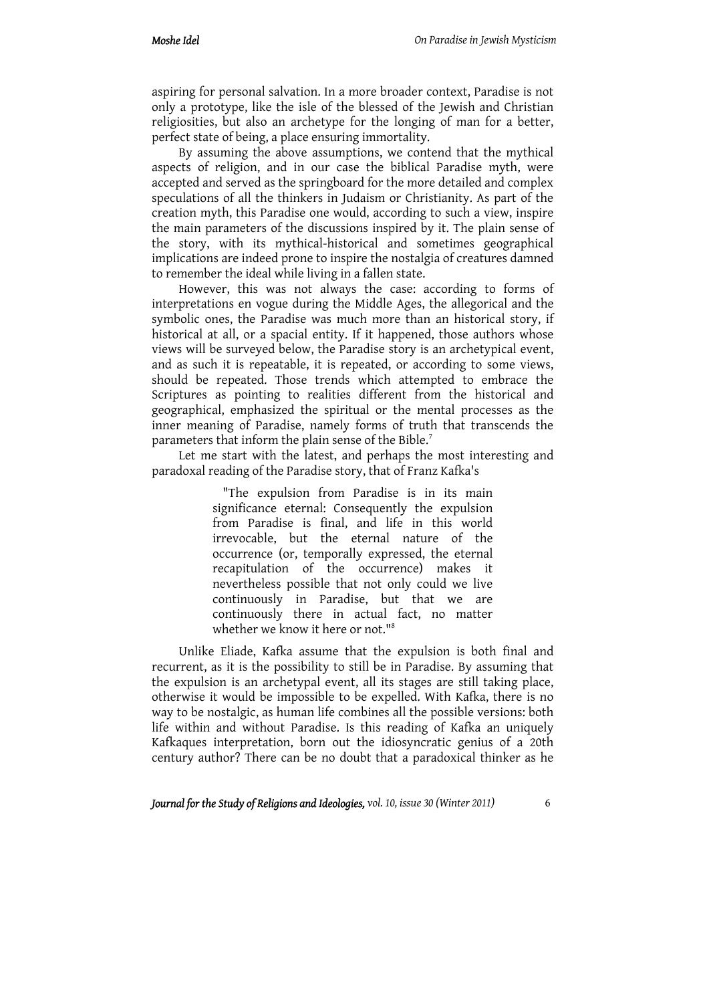aspiring for personal salvation. In a more broader context, Paradise is not only a prototype, like the isle of the blessed of the Jewish and Christian religiosities, but also an archetype for the longing of man for a better, perfect state of being, a place ensuring immortality.

By assuming the above assumptions, we contend that the mythical aspects of religion, and in our case the biblical Paradise myth, were accepted and served as the springboard for the more detailed and complex speculations of all the thinkers in Judaism or Christianity. As part of the creation myth, this Paradise one would, according to such a view, inspire the main parameters of the discussions inspired by it. The plain sense of the story, with its mythical-historical and sometimes geographical implications are indeed prone to inspire the nostalgia of creatures damned to remember the ideal while living in a fallen state.

However, this was not always the case: according to forms of interpretations en vogue during the Middle Ages, the allegorical and the symbolic ones, the Paradise was much more than an historical story, if historical at all, or a spacial entity. If it happened, those authors whose views will be surveyed below, the Paradise story is an archetypical event, and as such it is repeatable, it is repeated, or according to some views, should be repeated. Those trends which attempted to embrace the Scriptures as pointing to realities different from the historical and geographical, emphasized the spiritual or the mental processes as the inner meaning of Paradise, namely forms of truth that transcends the parameters that inform the plain sense of the Bible.<sup>7</sup>

Let me start with the latest, and perhaps the most interesting and paradoxal reading of the Paradise story, that of Franz Kafka's

> "The expulsion from Paradise is in its main significance eternal: Consequently the expulsion from Paradise is final, and life in this world irrevocable, but the eternal nature of the occurrence (or, temporally expressed, the eternal recapitulation of the occurrence) makes it nevertheless possible that not only could we live continuously in Paradise, but that we are continuously there in actual fact, no matter whether we know it here or not."8

Unlike Eliade, Kafka assume that the expulsion is both final and recurrent, as it is the possibility to still be in Paradise. By assuming that the expulsion is an archetypal event, all its stages are still taking place, otherwise it would be impossible to be expelled. With Kafka, there is no way to be nostalgic, as human life combines all the possible versions: both life within and without Paradise. Is this reading of Kafka an uniquely Kafkaques interpretation, born out the idiosyncratic genius of a 20th century author? There can be no doubt that a paradoxical thinker as he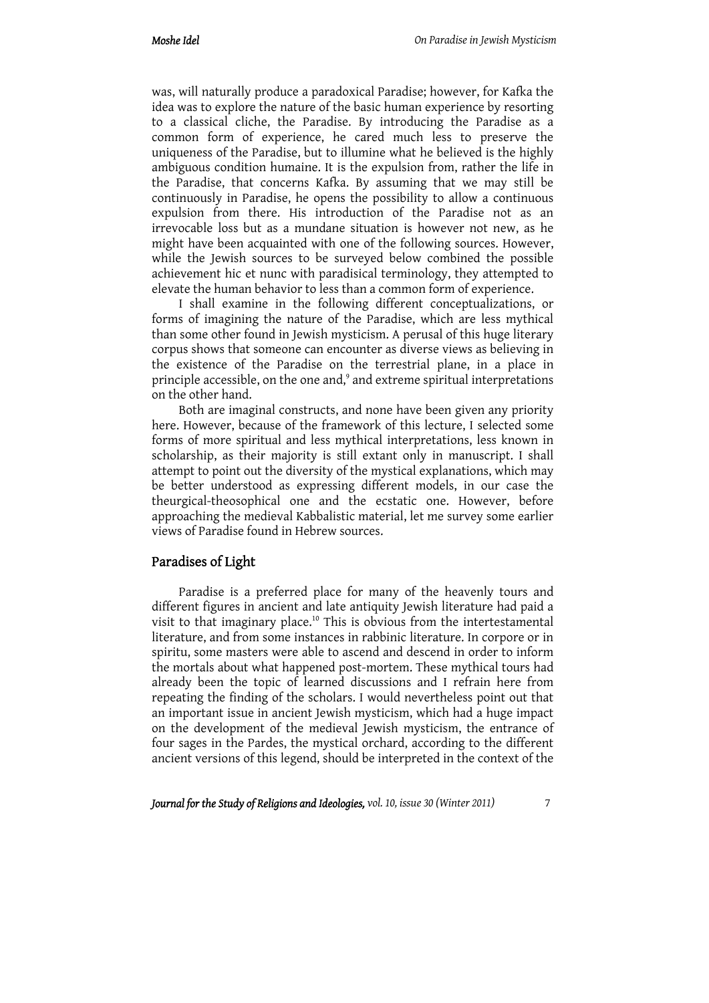was, will naturally produce a paradoxical Paradise; however, for Kafka the idea was to explore the nature of the basic human experience by resorting to a classical cliche, the Paradise. By introducing the Paradise as a common form of experience, he cared much less to preserve the uniqueness of the Paradise, but to illumine what he believed is the highly ambiguous condition humaine. It is the expulsion from, rather the life in the Paradise, that concerns Kafka. By assuming that we may still be continuously in Paradise, he opens the possibility to allow a continuous expulsion from there. His introduction of the Paradise not as an irrevocable loss but as a mundane situation is however not new, as he might have been acquainted with one of the following sources. However, while the Jewish sources to be surveyed below combined the possible achievement hic et nunc with paradisical terminology, they attempted to elevate the human behavior to less than a common form of experience.

I shall examine in the following different conceptualizations, or forms of imagining the nature of the Paradise, which are less mythical than some other found in Jewish mysticism. A perusal of this huge literary corpus shows that someone can encounter as diverse views as believing in the existence of the Paradise on the terrestrial plane, in a place in principle accessible, on the one and,<sup>9</sup> and extreme spiritual interpretations on the other hand.

Both are imaginal constructs, and none have been given any priority here. However, because of the framework of this lecture, I selected some forms of more spiritual and less mythical interpretations, less known in scholarship, as their majority is still extant only in manuscript. I shall attempt to point out the diversity of the mystical explanations, which may be better understood as expressing different models, in our case the theurgical-theosophical one and the ecstatic one. However, before approaching the medieval Kabbalistic material, let me survey some earlier views of Paradise found in Hebrew sources.

### Paradises of Light

Paradise is a preferred place for many of the heavenly tours and different figures in ancient and late antiquity Jewish literature had paid a visit to that imaginary place.<sup>10</sup> This is obvious from the intertestamental literature, and from some instances in rabbinic literature. In corpore or in spiritu, some masters were able to ascend and descend in order to inform the mortals about what happened post-mortem. These mythical tours had already been the topic of learned discussions and I refrain here from repeating the finding of the scholars. I would nevertheless point out that an important issue in ancient Jewish mysticism, which had a huge impact on the development of the medieval Jewish mysticism, the entrance of four sages in the Pardes, the mystical orchard, according to the different ancient versions of this legend, should be interpreted in the context of the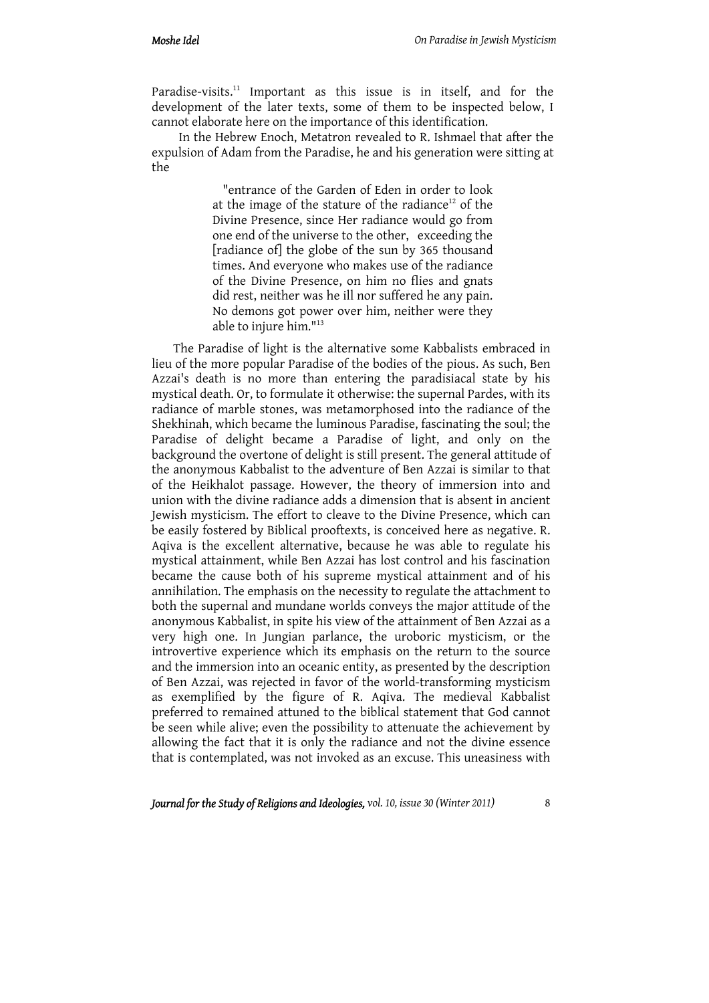Paradise-visits.<sup>11</sup> Important as this issue is in itself, and for the development of the later texts, some of them to be inspected below, I cannot elaborate here on the importance of this identification.

In the Hebrew Enoch, Metatron revealed to R. Ishmael that after the expulsion of Adam from the Paradise, he and his generation were sitting at the

> "entrance of the Garden of Eden in order to look at the image of the stature of the radiance<sup>12</sup> of the Divine Presence, since Her radiance would go from one end of the universe to the other, exceeding the [radiance of] the globe of the sun by 365 thousand times. And everyone who makes use of the radiance of the Divine Presence, on him no flies and gnats did rest, neither was he ill nor suffered he any pain. No demons got power over him, neither were they able to injure him."13

The Paradise of light is the alternative some Kabbalists embraced in lieu of the more popular Paradise of the bodies of the pious. As such, Ben Azzai's death is no more than entering the paradisiacal state by his mystical death. Or, to formulate it otherwise: the supernal Pardes, with its radiance of marble stones, was metamorphosed into the radiance of the Shekhinah, which became the luminous Paradise, fascinating the soul; the Paradise of delight became a Paradise of light, and only on the background the overtone of delight is still present. The general attitude of the anonymous Kabbalist to the adventure of Ben Azzai is similar to that of the Heikhalot passage. However, the theory of immersion into and union with the divine radiance adds a dimension that is absent in ancient Jewish mysticism. The effort to cleave to the Divine Presence, which can be easily fostered by Biblical prooftexts, is conceived here as negative. R. Aqiva is the excellent alternative, because he was able to regulate his mystical attainment, while Ben Azzai has lost control and his fascination became the cause both of his supreme mystical attainment and of his annihilation. The emphasis on the necessity to regulate the attachment to both the supernal and mundane worlds conveys the major attitude of the anonymous Kabbalist, in spite his view of the attainment of Ben Azzai as a very high one. In Jungian parlance, the uroboric mysticism, or the introvertive experience which its emphasis on the return to the source and the immersion into an oceanic entity, as presented by the description of Ben Azzai, was rejected in favor of the world-transforming mysticism as exemplified by the figure of R. Aqiva. The medieval Kabbalist preferred to remained attuned to the biblical statement that God cannot be seen while alive; even the possibility to attenuate the achievement by allowing the fact that it is only the radiance and not the divine essence that is contemplated, was not invoked as an excuse. This uneasiness with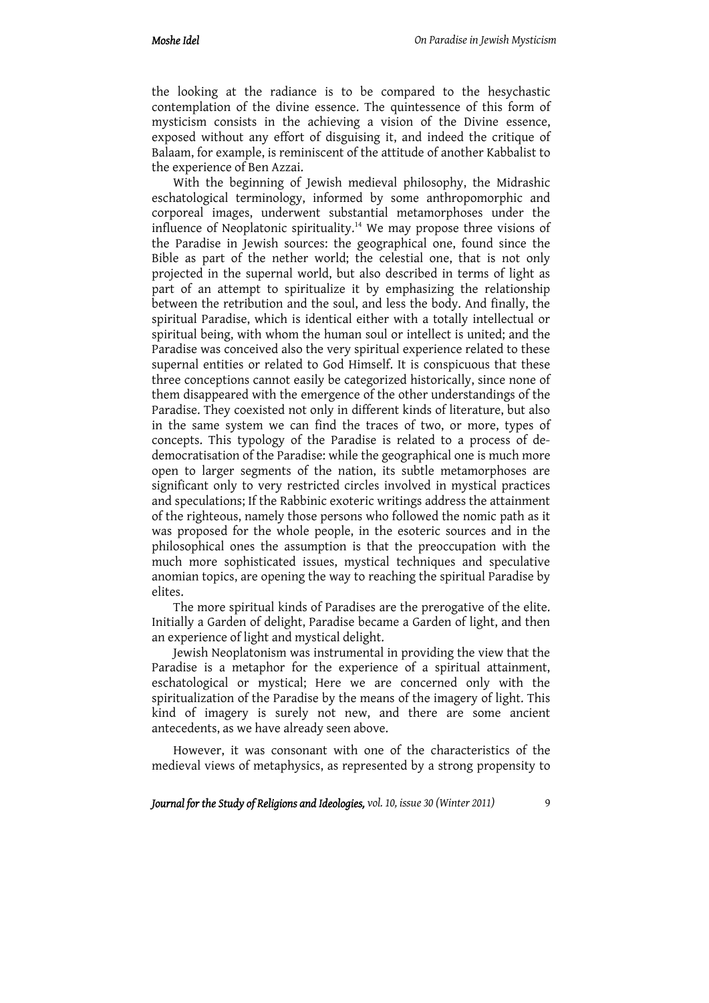the looking at the radiance is to be compared to the hesychastic contemplation of the divine essence. The quintessence of this form of mysticism consists in the achieving a vision of the Divine essence, exposed without any effort of disguising it, and indeed the critique of Balaam, for example, is reminiscent of the attitude of another Kabbalist to the experience of Ben Azzai.

With the beginning of Jewish medieval philosophy, the Midrashic eschatological terminology, informed by some anthropomorphic and corporeal images, underwent substantial metamorphoses under the influence of Neoplatonic spirituality.<sup>14</sup> We may propose three visions of the Paradise in Jewish sources: the geographical one, found since the Bible as part of the nether world; the celestial one, that is not only projected in the supernal world, but also described in terms of light as part of an attempt to spiritualize it by emphasizing the relationship between the retribution and the soul, and less the body. And finally, the spiritual Paradise, which is identical either with a totally intellectual or spiritual being, with whom the human soul or intellect is united; and the Paradise was conceived also the very spiritual experience related to these supernal entities or related to God Himself. It is conspicuous that these three conceptions cannot easily be categorized historically, since none of them disappeared with the emergence of the other understandings of the Paradise. They coexisted not only in different kinds of literature, but also in the same system we can find the traces of two, or more, types of concepts. This typology of the Paradise is related to a process of dedemocratisation of the Paradise: while the geographical one is much more open to larger segments of the nation, its subtle metamorphoses are significant only to very restricted circles involved in mystical practices and speculations; If the Rabbinic exoteric writings address the attainment of the righteous, namely those persons who followed the nomic path as it was proposed for the whole people, in the esoteric sources and in the philosophical ones the assumption is that the preoccupation with the much more sophisticated issues, mystical techniques and speculative anomian topics, are opening the way to reaching the spiritual Paradise by elites.

The more spiritual kinds of Paradises are the prerogative of the elite. Initially a Garden of delight, Paradise became a Garden of light, and then an experience of light and mystical delight.

Jewish Neoplatonism was instrumental in providing the view that the Paradise is a metaphor for the experience of a spiritual attainment, eschatological or mystical; Here we are concerned only with the spiritualization of the Paradise by the means of the imagery of light. This kind of imagery is surely not new, and there are some ancient antecedents, as we have already seen above.

However, it was consonant with one of the characteristics of the medieval views of metaphysics, as represented by a strong propensity to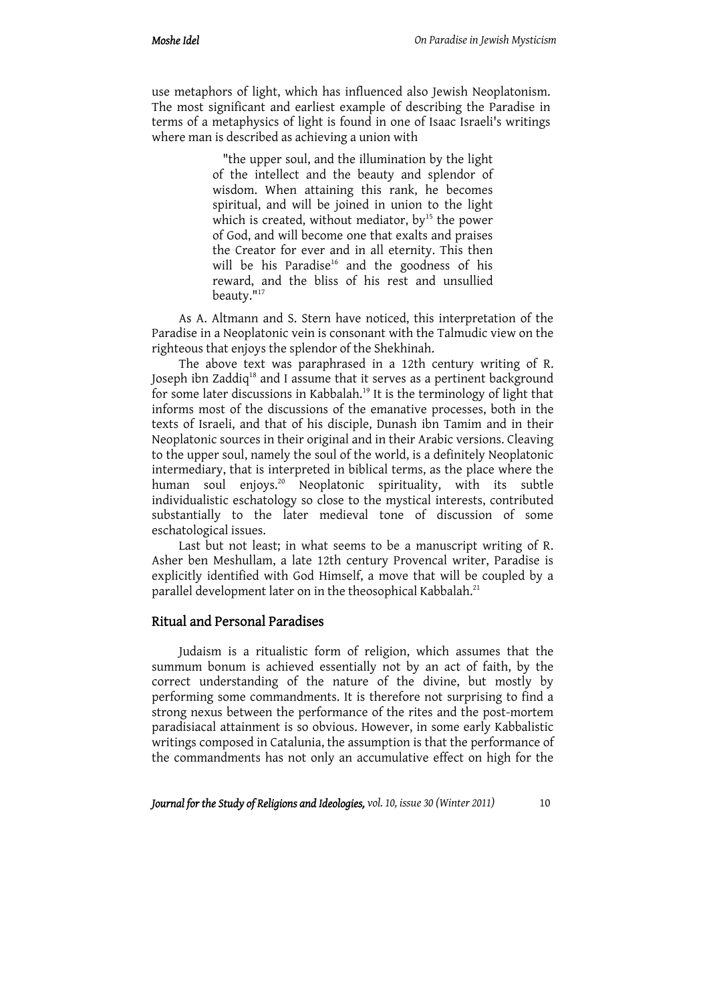use metaphors of light, which has influenced also Jewish Neoplatonism. The most significant and earliest example of describing the Paradise in terms of a metaphysics of light is found in one of Isaac Israeli's writings where man is described as achieving a union with

> "the upper soul, and the illumination by the light of the intellect and the beauty and splendor of wisdom. When attaining this rank, he becomes spiritual, and will be joined in union to the light which is created, without mediator,  $by<sup>15</sup>$  the power of God, and will become one that exalts and praises the Creator for ever and in all eternity. This then will be his Paradise<sup>16</sup> and the goodness of his reward, and the bliss of his rest and unsullied beauty."<sup>17</sup>

As A. Altmann and S. Stern have noticed, this interpretation of the Paradise in a Neoplatonic vein is consonant with the Talmudic view on the righteous that enjoys the splendor of the Shekhinah.

The above text was paraphrased in a 12th century writing of R. Joseph ibn Zaddiq<sup>18</sup> and I assume that it serves as a pertinent background for some later discussions in Kabbalah.<sup>19</sup> It is the terminology of light that informs most of the discussions of the emanative processes, both in the texts of Israeli, and that of his disciple, Dunash ibn Tamim and in their Neoplatonic sources in their original and in their Arabic versions. Cleaving to the upper soul, namely the soul of the world, is a definitely Neoplatonic intermediary, that is interpreted in biblical terms, as the place where the human soul enjoys.<sup>20</sup> Neoplatonic spirituality, with its subtle individualistic eschatology so close to the mystical interests, contributed substantially to the later medieval tone of discussion of some eschatological issues.

Last but not least; in what seems to be a manuscript writing of R. Asher ben Meshullam, a late 12th century Provencal writer, Paradise is explicitly identified with God Himself, a move that will be coupled by a parallel development later on in the theosophical Kabbalah.<sup>21</sup>

# Ritual and Personal Paradises

Judaism is a ritualistic form of religion, which assumes that the summum bonum is achieved essentially not by an act of faith, by the correct understanding of the nature of the divine, but mostly by performing some commandments. It is therefore not surprising to find a strong nexus between the performance of the rites and the post-mortem paradisiacal attainment is so obvious. However, in some early Kabbalistic writings composed in Catalunia, the assumption is that the performance of the commandments has not only an accumulative effect on high for the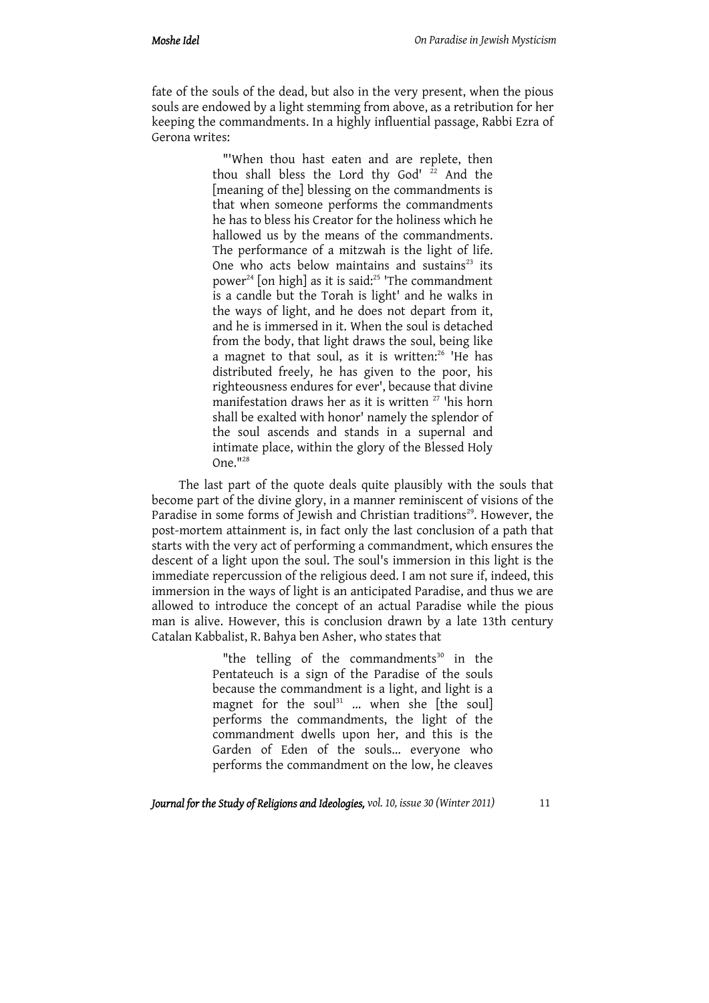fate of the souls of the dead, but also in the very present, when the pious souls are endowed by a light stemming from above, as a retribution for her keeping the commandments. In a highly influential passage, Rabbi Ezra of Gerona writes:

> "'When thou hast eaten and are replete, then thou shall bless the Lord thy God'  $22$  And the [meaning of the] blessing on the commandments is that when someone performs the commandments he has to bless his Creator for the holiness which he hallowed us by the means of the commandments. The performance of a mitzwah is the light of life. One who acts below maintains and sustains $23$  its power<sup>24</sup> [on high] as it is said:<sup>25</sup> 'The commandment is a candle but the Torah is light' and he walks in the ways of light, and he does not depart from it, and he is immersed in it. When the soul is detached from the body, that light draws the soul, being like a magnet to that soul, as it is written:<sup>26</sup> 'He has distributed freely, he has given to the poor, his righteousness endures for ever', because that divine manifestation draws her as it is written<sup>27</sup> 'his horn shall be exalted with honor' namely the splendor of the soul ascends and stands in a supernal and intimate place, within the glory of the Blessed Holy One."28

The last part of the quote deals quite plausibly with the souls that become part of the divine glory, in a manner reminiscent of visions of the Paradise in some forms of Jewish and Christian traditions<sup>29</sup>. However, the post-mortem attainment is, in fact only the last conclusion of a path that starts with the very act of performing a commandment, which ensures the descent of a light upon the soul. The soul's immersion in this light is the immediate repercussion of the religious deed. I am not sure if, indeed, this immersion in the ways of light is an anticipated Paradise, and thus we are allowed to introduce the concept of an actual Paradise while the pious man is alive. However, this is conclusion drawn by a late 13th century Catalan Kabbalist, R. Bahya ben Asher, who states that

> "the telling of the commandments $30$  in the Pentateuch is a sign of the Paradise of the souls because the commandment is a light, and light is a magnet for the soul<sup>31</sup> ... when she [the soul] performs the commandments, the light of the commandment dwells upon her, and this is the Garden of Eden of the souls... everyone who performs the commandment on the low, he cleaves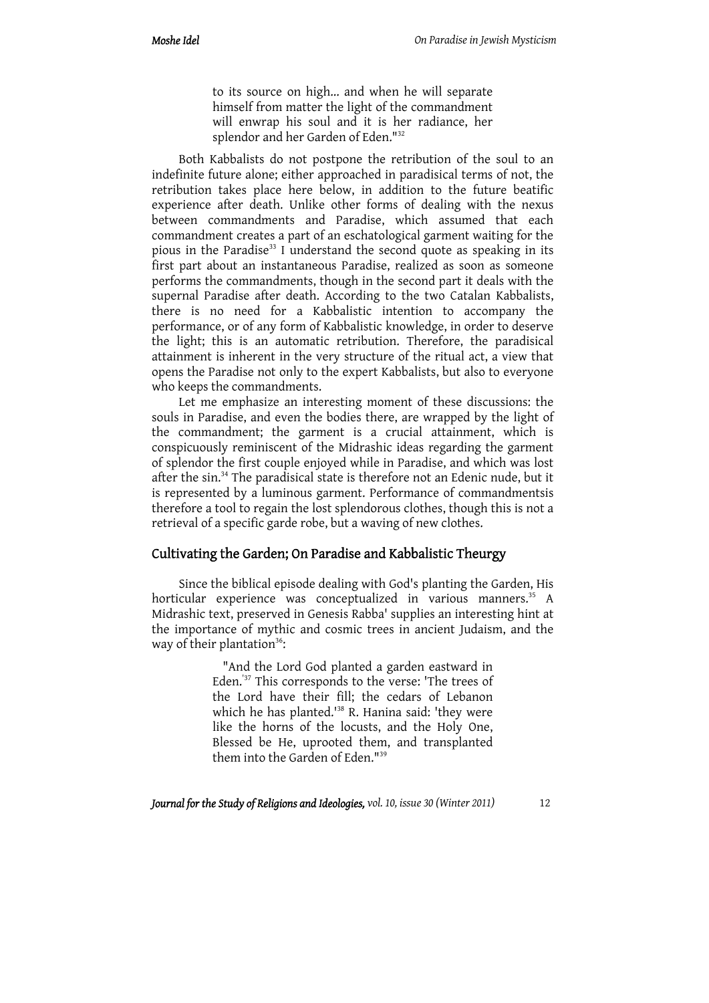to its source on high... and when he will separate himself from matter the light of the commandment will enwrap his soul and it is her radiance, her splendor and her Garden of Eden."32

Both Kabbalists do not postpone the retribution of the soul to an indefinite future alone; either approached in paradisical terms of not, the retribution takes place here below, in addition to the future beatific experience after death. Unlike other forms of dealing with the nexus between commandments and Paradise, which assumed that each commandment creates a part of an eschatological garment waiting for the pious in the Paradise<sup>33</sup> I understand the second quote as speaking in its first part about an instantaneous Paradise, realized as soon as someone performs the commandments, though in the second part it deals with the supernal Paradise after death. According to the two Catalan Kabbalists, there is no need for a Kabbalistic intention to accompany the performance, or of any form of Kabbalistic knowledge, in order to deserve the light; this is an automatic retribution. Therefore, the paradisical attainment is inherent in the very structure of the ritual act, a view that opens the Paradise not only to the expert Kabbalists, but also to everyone who keeps the commandments.

Let me emphasize an interesting moment of these discussions: the souls in Paradise, and even the bodies there, are wrapped by the light of the commandment; the garment is a crucial attainment, which is conspicuously reminiscent of the Midrashic ideas regarding the garment of splendor the first couple enjoyed while in Paradise, and which was lost after the sin.34 The paradisical state is therefore not an Edenic nude, but it is represented by a luminous garment. Performance of commandmentsis therefore a tool to regain the lost splendorous clothes, though this is not a retrieval of a specific garde robe, but a waving of new clothes.

# Cultivating the Garden; On Paradise and Kabbalistic Theurgy

Since the biblical episode dealing with God's planting the Garden, His horticular experience was conceptualized in various manners.<sup>35</sup> A Midrashic text, preserved in Genesis Rabba' supplies an interesting hint at the importance of mythic and cosmic trees in ancient Judaism, and the way of their plantation<sup>36</sup>:

> "And the Lord God planted a garden eastward in Eden.'37 This corresponds to the verse: 'The trees of the Lord have their fill; the cedars of Lebanon which he has planted.<sup>138</sup> R. Hanina said: 'they were like the horns of the locusts, and the Holy One, Blessed be He, uprooted them, and transplanted them into the Garden of Eden."39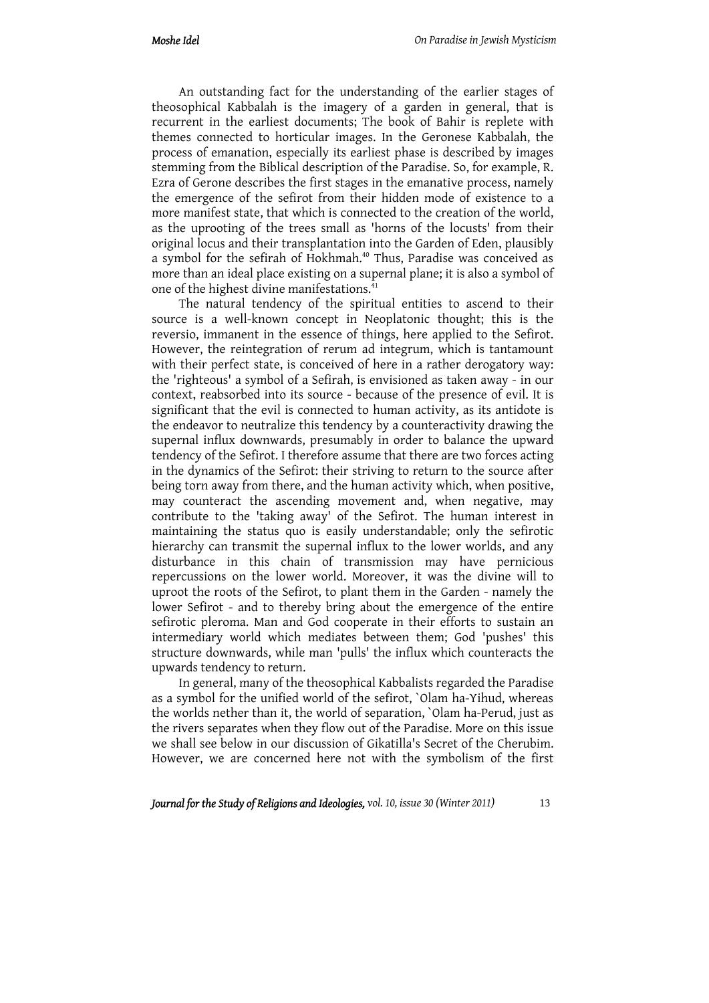An outstanding fact for the understanding of the earlier stages of theosophical Kabbalah is the imagery of a garden in general, that is recurrent in the earliest documents; The book of Bahir is replete with themes connected to horticular images. In the Geronese Kabbalah, the process of emanation, especially its earliest phase is described by images stemming from the Biblical description of the Paradise. So, for example, R. Ezra of Gerone describes the first stages in the emanative process, namely the emergence of the sefirot from their hidden mode of existence to a more manifest state, that which is connected to the creation of the world, as the uprooting of the trees small as 'horns of the locusts' from their original locus and their transplantation into the Garden of Eden, plausibly a symbol for the sefirah of Hokhmah.<sup>40</sup> Thus, Paradise was conceived as more than an ideal place existing on a supernal plane; it is also a symbol of one of the highest divine manifestations.<sup>41</sup>

The natural tendency of the spiritual entities to ascend to their source is a well-known concept in Neoplatonic thought; this is the reversio, immanent in the essence of things, here applied to the Sefirot. However, the reintegration of rerum ad integrum, which is tantamount with their perfect state, is conceived of here in a rather derogatory way: the 'righteous' a symbol of a Sefirah, is envisioned as taken away - in our context, reabsorbed into its source - because of the presence of evil. It is significant that the evil is connected to human activity, as its antidote is the endeavor to neutralize this tendency by a counteractivity drawing the supernal influx downwards, presumably in order to balance the upward tendency of the Sefirot. I therefore assume that there are two forces acting in the dynamics of the Sefirot: their striving to return to the source after being torn away from there, and the human activity which, when positive, may counteract the ascending movement and, when negative, may contribute to the 'taking away' of the Sefirot. The human interest in maintaining the status quo is easily understandable; only the sefirotic hierarchy can transmit the supernal influx to the lower worlds, and any disturbance in this chain of transmission may have pernicious repercussions on the lower world. Moreover, it was the divine will to uproot the roots of the Sefirot, to plant them in the Garden - namely the lower Sefirot - and to thereby bring about the emergence of the entire sefirotic pleroma. Man and God cooperate in their efforts to sustain an intermediary world which mediates between them; God 'pushes' this structure downwards, while man 'pulls' the influx which counteracts the upwards tendency to return.

In general, many of the theosophical Kabbalists regarded the Paradise as a symbol for the unified world of the sefirot, `Olam ha-Yihud, whereas the worlds nether than it, the world of separation, `Olam ha-Perud, just as the rivers separates when they flow out of the Paradise. More on this issue we shall see below in our discussion of Gikatilla's Secret of the Cherubim. However, we are concerned here not with the symbolism of the first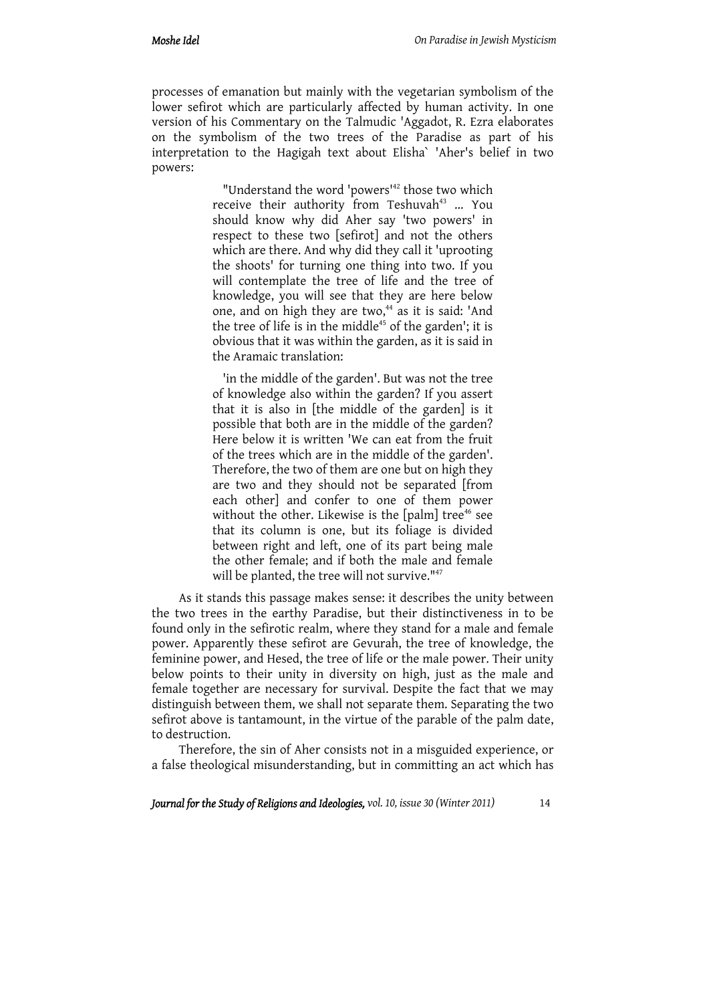processes of emanation but mainly with the vegetarian symbolism of the lower sefirot which are particularly affected by human activity. In one version of his Commentary on the Talmudic 'Aggadot, R. Ezra elaborates on the symbolism of the two trees of the Paradise as part of his interpretation to the Hagigah text about Elisha` 'Aher's belief in two powers:

> "Understand the word 'powers<sup>142</sup> those two which receive their authority from Teshuvah $43$  ... You should know why did Aher say 'two powers' in respect to these two [sefirot] and not the others which are there. And why did they call it 'uprooting the shoots' for turning one thing into two. If you will contemplate the tree of life and the tree of knowledge, you will see that they are here below one, and on high they are two,<sup>44</sup> as it is said: 'And the tree of life is in the middle<sup>45</sup> of the garden'; it is obvious that it was within the garden, as it is said in the Aramaic translation:

> 'in the middle of the garden'. But was not the tree of knowledge also within the garden? If you assert that it is also in [the middle of the garden] is it possible that both are in the middle of the garden? Here below it is written 'We can eat from the fruit of the trees which are in the middle of the garden'. Therefore, the two of them are one but on high they are two and they should not be separated [from each other] and confer to one of them power without the other. Likewise is the  $[*palm*]$  tree<sup>46</sup> see that its column is one, but its foliage is divided between right and left, one of its part being male the other female; and if both the male and female will be planted, the tree will not survive."<sup>47</sup>

As it stands this passage makes sense: it describes the unity between the two trees in the earthy Paradise, but their distinctiveness in to be found only in the sefirotic realm, where they stand for a male and female power. Apparently these sefirot are Gevurah, the tree of knowledge, the feminine power, and Hesed, the tree of life or the male power. Their unity below points to their unity in diversity on high, just as the male and female together are necessary for survival. Despite the fact that we may distinguish between them, we shall not separate them. Separating the two sefirot above is tantamount, in the virtue of the parable of the palm date, to destruction.

Therefore, the sin of Aher consists not in a misguided experience, or a false theological misunderstanding, but in committing an act which has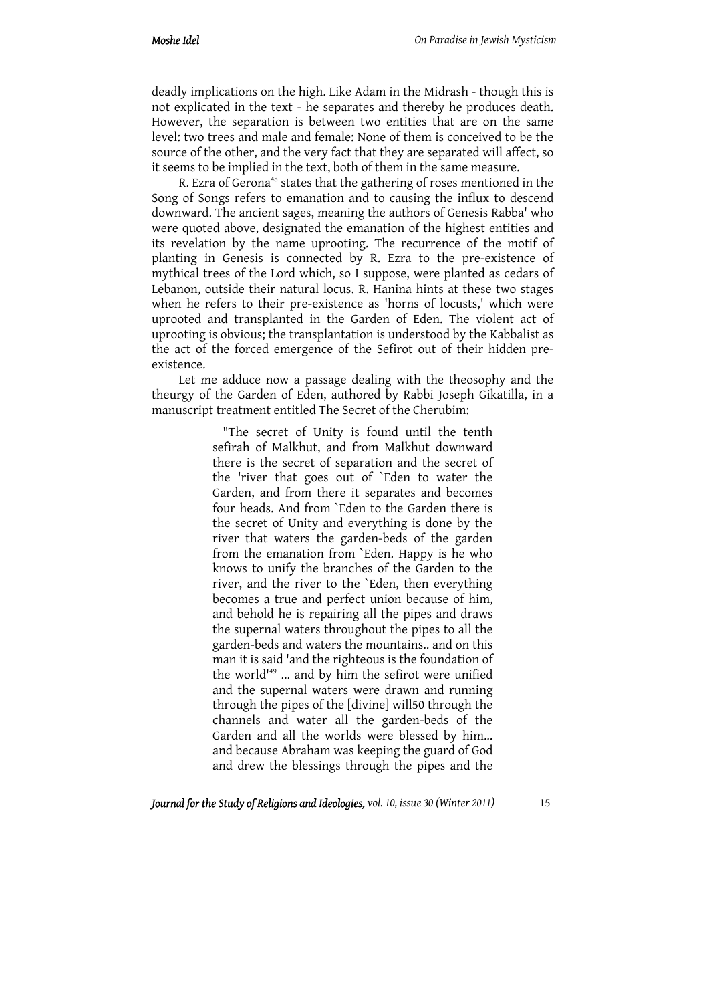deadly implications on the high. Like Adam in the Midrash - though this is not explicated in the text - he separates and thereby he produces death. However, the separation is between two entities that are on the same level: two trees and male and female: None of them is conceived to be the source of the other, and the very fact that they are separated will affect, so it seems to be implied in the text, both of them in the same measure.

R. Ezra of Gerona<sup>48</sup> states that the gathering of roses mentioned in the Song of Songs refers to emanation and to causing the influx to descend downward. The ancient sages, meaning the authors of Genesis Rabba' who were quoted above, designated the emanation of the highest entities and its revelation by the name uprooting. The recurrence of the motif of planting in Genesis is connected by R. Ezra to the pre-existence of mythical trees of the Lord which, so I suppose, were planted as cedars of Lebanon, outside their natural locus. R. Hanina hints at these two stages when he refers to their pre-existence as 'horns of locusts,' which were uprooted and transplanted in the Garden of Eden. The violent act of uprooting is obvious; the transplantation is understood by the Kabbalist as the act of the forced emergence of the Sefirot out of their hidden preexistence.

Let me adduce now a passage dealing with the theosophy and the theurgy of the Garden of Eden, authored by Rabbi Joseph Gikatilla, in a manuscript treatment entitled The Secret of the Cherubim:

> "The secret of Unity is found until the tenth sefirah of Malkhut, and from Malkhut downward there is the secret of separation and the secret of the 'river that goes out of `Eden to water the Garden, and from there it separates and becomes four heads. And from `Eden to the Garden there is the secret of Unity and everything is done by the river that waters the garden-beds of the garden from the emanation from `Eden. Happy is he who knows to unify the branches of the Garden to the river, and the river to the `Eden, then everything becomes a true and perfect union because of him, and behold he is repairing all the pipes and draws the supernal waters throughout the pipes to all the garden-beds and waters the mountains.. and on this man it is said 'and the righteous is the foundation of the world<sup>149</sup> ... and by him the sefirot were unified and the supernal waters were drawn and running through the pipes of the [divine] will50 through the channels and water all the garden-beds of the Garden and all the worlds were blessed by him... and because Abraham was keeping the guard of God and drew the blessings through the pipes and the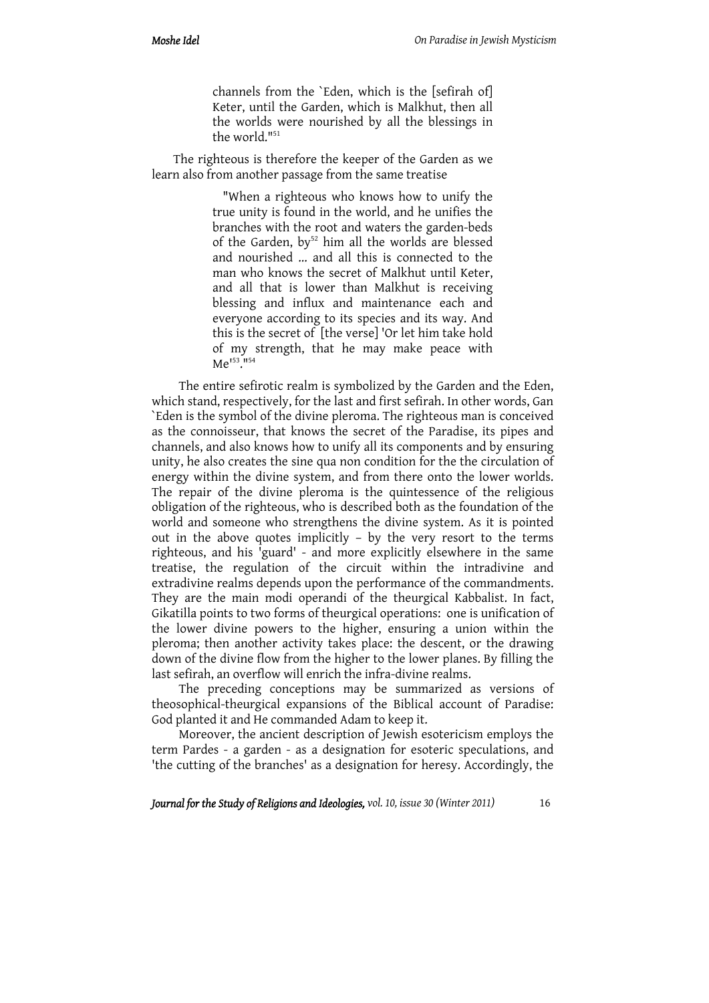channels from the `Eden, which is the [sefirah of] Keter, until the Garden, which is Malkhut, then all the worlds were nourished by all the blessings in the world."<sup>51</sup>

The righteous is therefore the keeper of the Garden as we learn also from another passage from the same treatise

> "When a righteous who knows how to unify the true unity is found in the world, and he unifies the branches with the root and waters the garden-beds of the Garden, by $52$  him all the worlds are blessed and nourished ... and all this is connected to the man who knows the secret of Malkhut until Keter, and all that is lower than Malkhut is receiving blessing and influx and maintenance each and everyone according to its species and its way. And this is the secret of [the verse] 'Or let him take hold of my strength, that he may make peace with Me<sup>153</sup>.<sup>1154</sup>

The entire sefirotic realm is symbolized by the Garden and the Eden, which stand, respectively, for the last and first sefirah. In other words, Gan `Eden is the symbol of the divine pleroma. The righteous man is conceived as the connoisseur, that knows the secret of the Paradise, its pipes and channels, and also knows how to unify all its components and by ensuring unity, he also creates the sine qua non condition for the the circulation of energy within the divine system, and from there onto the lower worlds. The repair of the divine pleroma is the quintessence of the religious obligation of the righteous, who is described both as the foundation of the world and someone who strengthens the divine system. As it is pointed out in the above quotes implicitly – by the very resort to the terms righteous, and his 'guard' - and more explicitly elsewhere in the same treatise, the regulation of the circuit within the intradivine and extradivine realms depends upon the performance of the commandments. They are the main modi operandi of the theurgical Kabbalist. In fact, Gikatilla points to two forms of theurgical operations: one is unification of the lower divine powers to the higher, ensuring a union within the pleroma; then another activity takes place: the descent, or the drawing down of the divine flow from the higher to the lower planes. By filling the last sefirah, an overflow will enrich the infra-divine realms.

The preceding conceptions may be summarized as versions of theosophical-theurgical expansions of the Biblical account of Paradise: God planted it and He commanded Adam to keep it.

Moreover, the ancient description of Jewish esotericism employs the term Pardes - a garden - as a designation for esoteric speculations, and 'the cutting of the branches' as a designation for heresy. Accordingly, the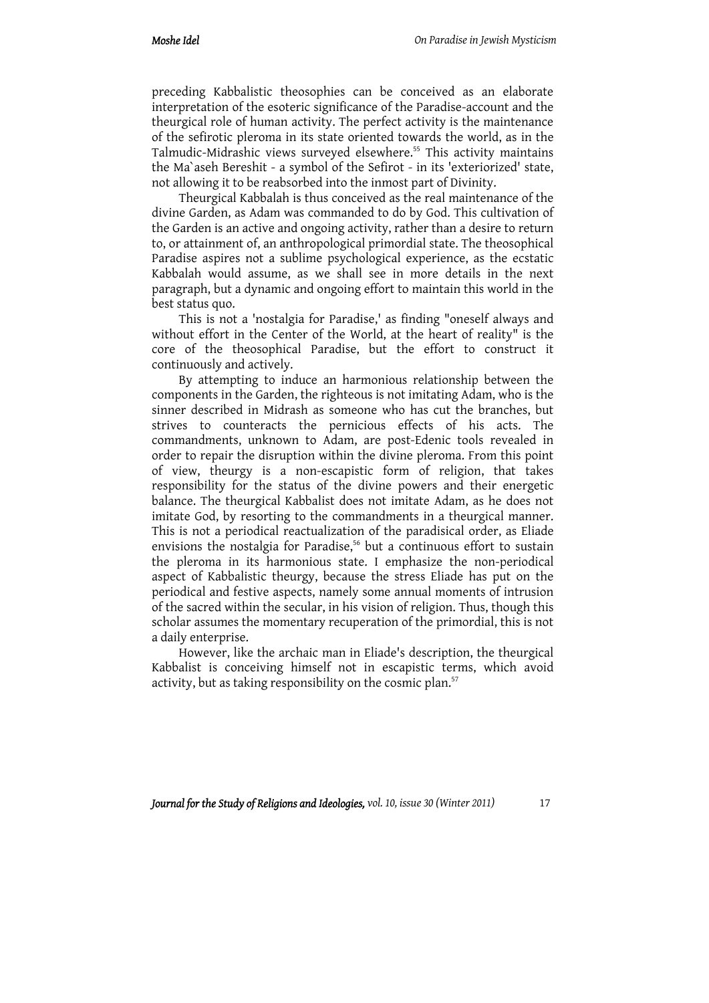preceding Kabbalistic theosophies can be conceived as an elaborate interpretation of the esoteric significance of the Paradise-account and the theurgical role of human activity. The perfect activity is the maintenance of the sefirotic pleroma in its state oriented towards the world, as in the Talmudic-Midrashic views surveyed elsewhere.<sup>55</sup> This activity maintains the Ma`aseh Bereshit - a symbol of the Sefirot - in its 'exteriorized' state, not allowing it to be reabsorbed into the inmost part of Divinity.

Theurgical Kabbalah is thus conceived as the real maintenance of the divine Garden, as Adam was commanded to do by God. This cultivation of the Garden is an active and ongoing activity, rather than a desire to return to, or attainment of, an anthropological primordial state. The theosophical Paradise aspires not a sublime psychological experience, as the ecstatic Kabbalah would assume, as we shall see in more details in the next paragraph, but a dynamic and ongoing effort to maintain this world in the best status quo.

This is not a 'nostalgia for Paradise,' as finding "oneself always and without effort in the Center of the World, at the heart of reality" is the core of the theosophical Paradise, but the effort to construct it continuously and actively.

By attempting to induce an harmonious relationship between the components in the Garden, the righteous is not imitating Adam, who is the sinner described in Midrash as someone who has cut the branches, but strives to counteracts the pernicious effects of his acts. The commandments, unknown to Adam, are post-Edenic tools revealed in order to repair the disruption within the divine pleroma. From this point of view, theurgy is a non-escapistic form of religion, that takes responsibility for the status of the divine powers and their energetic balance. The theurgical Kabbalist does not imitate Adam, as he does not imitate God, by resorting to the commandments in a theurgical manner. This is not a periodical reactualization of the paradisical order, as Eliade envisions the nostalgia for Paradise,<sup>56</sup> but a continuous effort to sustain the pleroma in its harmonious state. I emphasize the non-periodical aspect of Kabbalistic theurgy, because the stress Eliade has put on the periodical and festive aspects, namely some annual moments of intrusion of the sacred within the secular, in his vision of religion. Thus, though this scholar assumes the momentary recuperation of the primordial, this is not a daily enterprise.

However, like the archaic man in Eliade's description, the theurgical Kabbalist is conceiving himself not in escapistic terms, which avoid activity, but as taking responsibility on the cosmic plan.<sup>57</sup>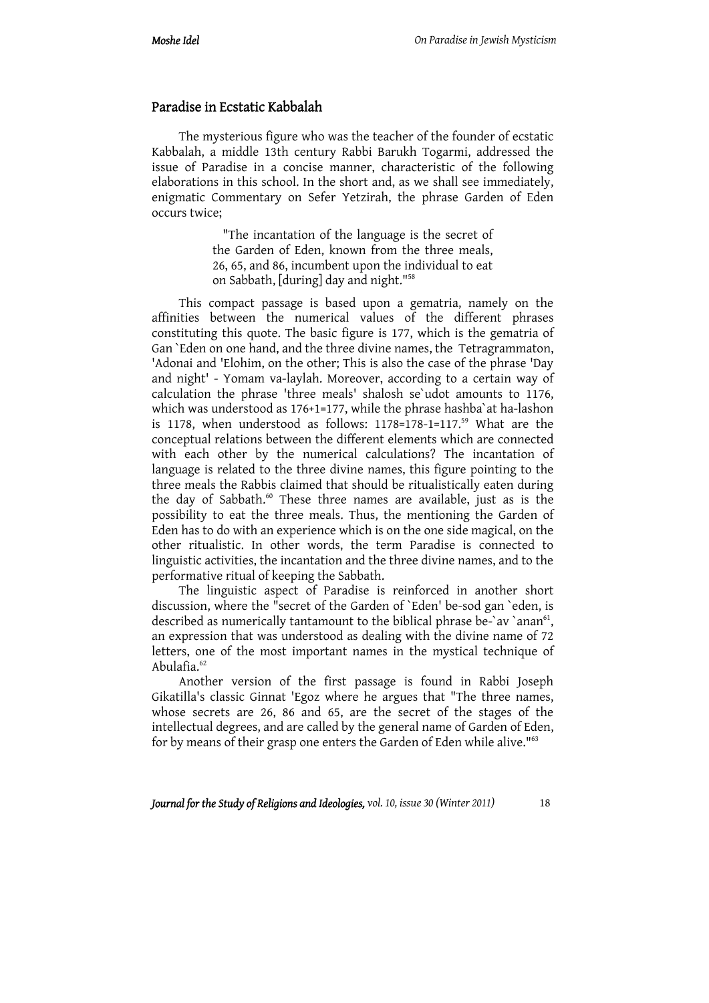#### Paradise in Ecstatic Kabbalah

The mysterious figure who was the teacher of the founder of ecstatic Kabbalah, a middle 13th century Rabbi Barukh Togarmi, addressed the issue of Paradise in a concise manner, characteristic of the following elaborations in this school. In the short and, as we shall see immediately, enigmatic Commentary on Sefer Yetzirah, the phrase Garden of Eden occurs twice;

> "The incantation of the language is the secret of the Garden of Eden, known from the three meals, 26, 65, and 86, incumbent upon the individual to eat on Sabbath, [during] day and night."58

This compact passage is based upon a gematria, namely on the affinities between the numerical values of the different phrases constituting this quote. The basic figure is 177, which is the gematria of Gan `Eden on one hand, and the three divine names, the Tetragrammaton, 'Adonai and 'Elohim, on the other; This is also the case of the phrase 'Day and night' - Yomam va-laylah. Moreover, according to a certain way of calculation the phrase 'three meals' shalosh se`udot amounts to 1176, which was understood as 176+1=177, while the phrase hashba`at ha-lashon is 1178, when understood as follows: 1178=178-1=117.<sup>59</sup> What are the conceptual relations between the different elements which are connected with each other by the numerical calculations? The incantation of language is related to the three divine names, this figure pointing to the three meals the Rabbis claimed that should be ritualistically eaten during the day of Sabbath.<sup>60</sup> These three names are available, just as is the possibility to eat the three meals. Thus, the mentioning the Garden of Eden has to do with an experience which is on the one side magical, on the other ritualistic. In other words, the term Paradise is connected to linguistic activities, the incantation and the three divine names, and to the performative ritual of keeping the Sabbath.

The linguistic aspect of Paradise is reinforced in another short discussion, where the "secret of the Garden of `Eden' be-sod gan `eden, is described as numerically tantamount to the biblical phrase be-`av `anan $^{61}$ , an expression that was understood as dealing with the divine name of 72 letters, one of the most important names in the mystical technique of Abulafia. $62$ 

Another version of the first passage is found in Rabbi Joseph Gikatilla's classic Ginnat 'Egoz where he argues that "The three names, whose secrets are 26, 86 and 65, are the secret of the stages of the intellectual degrees, and are called by the general name of Garden of Eden, for by means of their grasp one enters the Garden of Eden while alive."63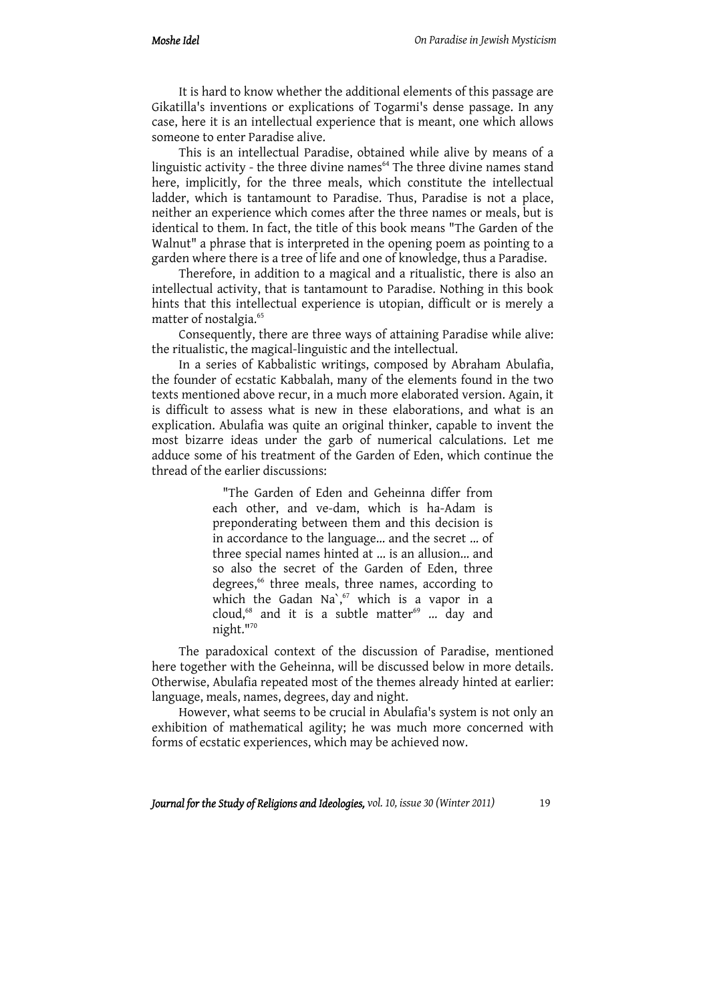It is hard to know whether the additional elements of this passage are Gikatilla's inventions or explications of Togarmi's dense passage. In any case, here it is an intellectual experience that is meant, one which allows someone to enter Paradise alive.

This is an intellectual Paradise, obtained while alive by means of a linguistic activity - the three divine names<sup>64</sup> The three divine names stand here, implicitly, for the three meals, which constitute the intellectual ladder, which is tantamount to Paradise. Thus, Paradise is not a place, neither an experience which comes after the three names or meals, but is identical to them. In fact, the title of this book means "The Garden of the Walnut" a phrase that is interpreted in the opening poem as pointing to a garden where there is a tree of life and one of knowledge, thus a Paradise.

Therefore, in addition to a magical and a ritualistic, there is also an intellectual activity, that is tantamount to Paradise. Nothing in this book hints that this intellectual experience is utopian, difficult or is merely a matter of nostalgia.<sup>65</sup>

Consequently, there are three ways of attaining Paradise while alive: the ritualistic, the magical-linguistic and the intellectual.

In a series of Kabbalistic writings, composed by Abraham Abulafia, the founder of ecstatic Kabbalah, many of the elements found in the two texts mentioned above recur, in a much more elaborated version. Again, it is difficult to assess what is new in these elaborations, and what is an explication. Abulafia was quite an original thinker, capable to invent the most bizarre ideas under the garb of numerical calculations. Let me adduce some of his treatment of the Garden of Eden, which continue the thread of the earlier discussions:

> "The Garden of Eden and Geheinna differ from each other, and ve-dam, which is ha-Adam is preponderating between them and this decision is in accordance to the language... and the secret ... of three special names hinted at ... is an allusion... and so also the secret of the Garden of Eden, three degrees,<sup>66</sup> three meals, three names, according to which the Gadan Na`, $67$  which is a vapor in a cloud,<sup>68</sup> and it is a subtle matter<sup>69</sup> ... day and night."70

The paradoxical context of the discussion of Paradise, mentioned here together with the Geheinna, will be discussed below in more details. Otherwise, Abulafia repeated most of the themes already hinted at earlier: language, meals, names, degrees, day and night.

However, what seems to be crucial in Abulafia's system is not only an exhibition of mathematical agility; he was much more concerned with forms of ecstatic experiences, which may be achieved now.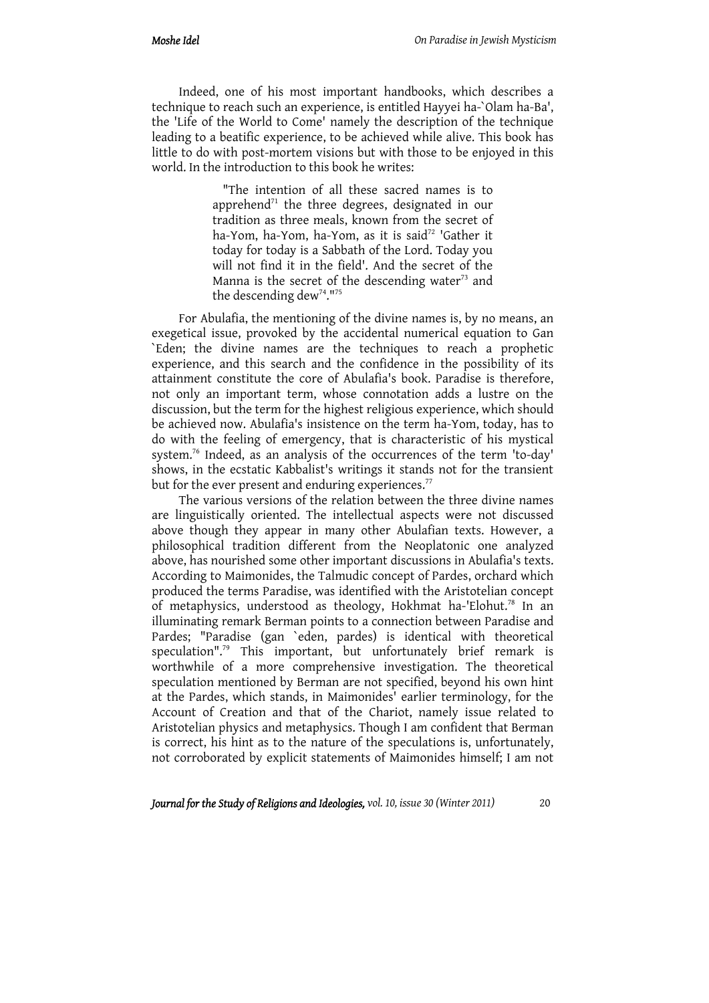Indeed, one of his most important handbooks, which describes a technique to reach such an experience, is entitled Hayyei ha-`Olam ha-Ba', the 'Life of the World to Come' namely the description of the technique leading to a beatific experience, to be achieved while alive. This book has little to do with post-mortem visions but with those to be enjoyed in this world. In the introduction to this book he writes:

> "The intention of all these sacred names is to apprehend<sup>71</sup> the three degrees, designated in our tradition as three meals, known from the secret of ha-Yom, ha-Yom, ha-Yom, as it is said<sup>72</sup> 'Gather it today for today is a Sabbath of the Lord. Today you will not find it in the field'. And the secret of the Manna is the secret of the descending water $73$  and the descending dew<sup>74</sup>.<sup>1175</sup>

For Abulafia, the mentioning of the divine names is, by no means, an exegetical issue, provoked by the accidental numerical equation to Gan `Eden; the divine names are the techniques to reach a prophetic experience, and this search and the confidence in the possibility of its attainment constitute the core of Abulafia's book. Paradise is therefore, not only an important term, whose connotation adds a lustre on the discussion, but the term for the highest religious experience, which should be achieved now. Abulafia's insistence on the term ha-Yom, today, has to do with the feeling of emergency, that is characteristic of his mystical system.76 Indeed, as an analysis of the occurrences of the term 'to-day' shows, in the ecstatic Kabbalist's writings it stands not for the transient but for the ever present and enduring experiences.<sup>77</sup>

The various versions of the relation between the three divine names are linguistically oriented. The intellectual aspects were not discussed above though they appear in many other Abulafian texts. However, a philosophical tradition different from the Neoplatonic one analyzed above, has nourished some other important discussions in Abulafia's texts. According to Maimonides, the Talmudic concept of Pardes, orchard which produced the terms Paradise, was identified with the Aristotelian concept of metaphysics, understood as theology, Hokhmat ha-'Elohut.<sup>78</sup> In an illuminating remark Berman points to a connection between Paradise and Pardes; "Paradise (gan `eden, pardes) is identical with theoretical speculation".<sup>79</sup> This important, but unfortunately brief remark is worthwhile of a more comprehensive investigation. The theoretical speculation mentioned by Berman are not specified, beyond his own hint at the Pardes, which stands, in Maimonides' earlier terminology, for the Account of Creation and that of the Chariot, namely issue related to Aristotelian physics and metaphysics. Though I am confident that Berman is correct, his hint as to the nature of the speculations is, unfortunately, not corroborated by explicit statements of Maimonides himself; I am not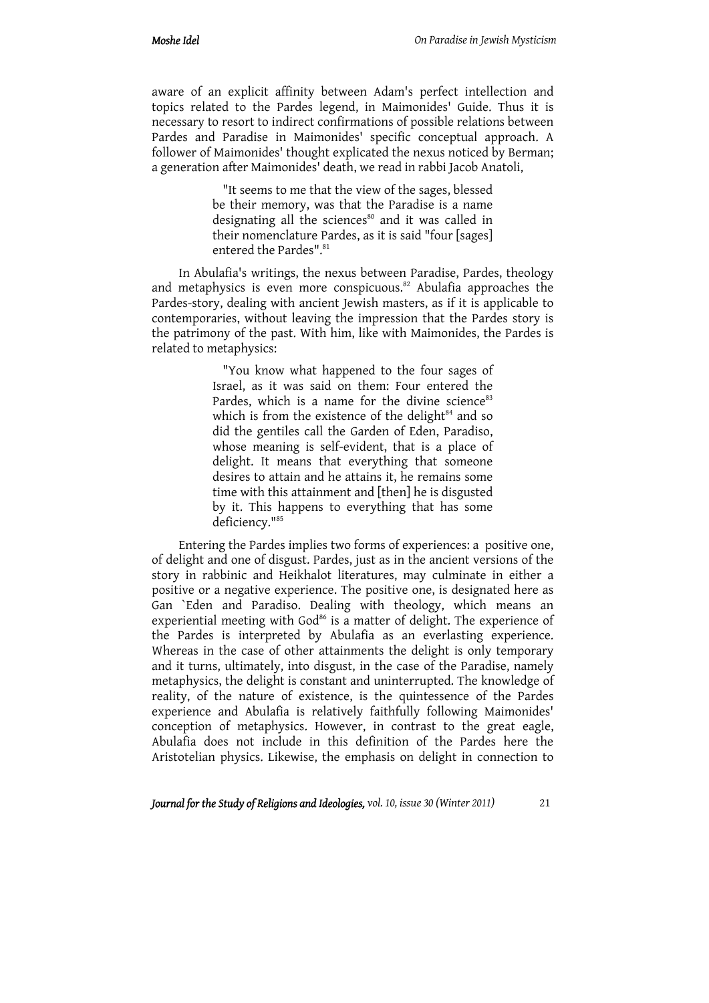aware of an explicit affinity between Adam's perfect intellection and topics related to the Pardes legend, in Maimonides' Guide. Thus it is necessary to resort to indirect confirmations of possible relations between Pardes and Paradise in Maimonides' specific conceptual approach. A follower of Maimonides' thought explicated the nexus noticed by Berman; a generation after Maimonides' death, we read in rabbi Jacob Anatoli,

> "It seems to me that the view of the sages, blessed be their memory, was that the Paradise is a name designating all the sciences<sup>80</sup> and it was called in their nomenclature Pardes, as it is said "four [sages] entered the Pardes".<sup>81</sup>

In Abulafia's writings, the nexus between Paradise, Pardes, theology and metaphysics is even more conspicuous.<sup>82</sup> Abulafia approaches the Pardes-story, dealing with ancient Jewish masters, as if it is applicable to contemporaries, without leaving the impression that the Pardes story is the patrimony of the past. With him, like with Maimonides, the Pardes is related to metaphysics:

> "You know what happened to the four sages of Israel, as it was said on them: Four entered the Pardes, which is a name for the divine science $83$ which is from the existence of the delight $84$  and so did the gentiles call the Garden of Eden, Paradiso, whose meaning is self-evident, that is a place of delight. It means that everything that someone desires to attain and he attains it, he remains some time with this attainment and [then] he is disgusted by it. This happens to everything that has some deficiency."85

Entering the Pardes implies two forms of experiences: a positive one, of delight and one of disgust. Pardes, just as in the ancient versions of the story in rabbinic and Heikhalot literatures, may culminate in either a positive or a negative experience. The positive one, is designated here as Gan `Eden and Paradiso. Dealing with theology, which means an experiential meeting with God<sup>86</sup> is a matter of delight. The experience of the Pardes is interpreted by Abulafia as an everlasting experience. Whereas in the case of other attainments the delight is only temporary and it turns, ultimately, into disgust, in the case of the Paradise, namely metaphysics, the delight is constant and uninterrupted. The knowledge of reality, of the nature of existence, is the quintessence of the Pardes experience and Abulafia is relatively faithfully following Maimonides' conception of metaphysics. However, in contrast to the great eagle, Abulafia does not include in this definition of the Pardes here the Aristotelian physics. Likewise, the emphasis on delight in connection to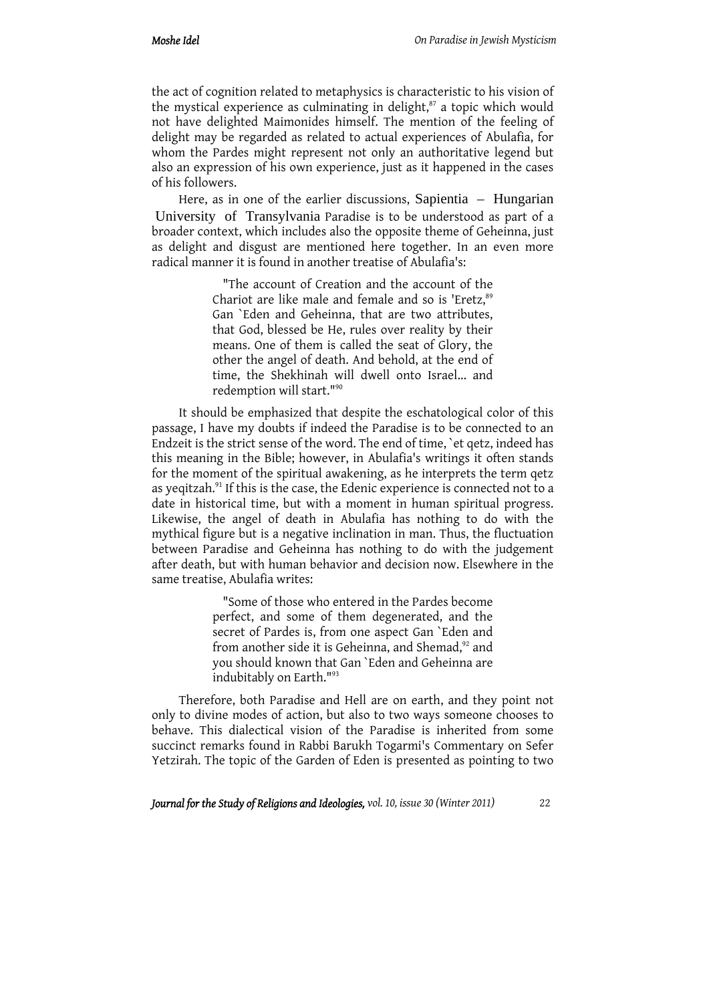the act of cognition related to metaphysics is characteristic to his vision of the mystical experience as culminating in delight,<sup>87</sup> a topic which would not have delighted Maimonides himself. The mention of the feeling of delight may be regarded as related to actual experiences of Abulafia, for whom the Pardes might represent not only an authoritative legend but also an expression of his own experience, just as it happened in the cases of his followers.

Here, as in one of the earlier discussions, Sapientia – Hungarian University of Transylvania Paradise is to be understood as part of a broader context, which includes also the opposite theme of Geheinna, just as delight and disgust are mentioned here together. In an even more radical manner it is found in another treatise of Abulafia's:

> "The account of Creation and the account of the Chariot are like male and female and so is 'Eretz,<sup>89</sup> Gan `Eden and Geheinna, that are two attributes, that God, blessed be He, rules over reality by their means. One of them is called the seat of Glory, the other the angel of death. And behold, at the end of time, the Shekhinah will dwell onto Israel... and redemption will start."90

It should be emphasized that despite the eschatological color of this passage, I have my doubts if indeed the Paradise is to be connected to an Endzeit is the strict sense of the word. The end of time, `et qetz, indeed has this meaning in the Bible; however, in Abulafia's writings it often stands for the moment of the spiritual awakening, as he interprets the term qetz as yeqitzah.<sup>91</sup> If this is the case, the Edenic experience is connected not to a date in historical time, but with a moment in human spiritual progress. Likewise, the angel of death in Abulafia has nothing to do with the mythical figure but is a negative inclination in man. Thus, the fluctuation between Paradise and Geheinna has nothing to do with the judgement after death, but with human behavior and decision now. Elsewhere in the same treatise, Abulafia writes:

> "Some of those who entered in the Pardes become perfect, and some of them degenerated, and the secret of Pardes is, from one aspect Gan `Eden and from another side it is Geheinna, and Shemad,<sup>92</sup> and you should known that Gan `Eden and Geheinna are indubitably on Earth."93

Therefore, both Paradise and Hell are on earth, and they point not only to divine modes of action, but also to two ways someone chooses to behave. This dialectical vision of the Paradise is inherited from some succinct remarks found in Rabbi Barukh Togarmi's Commentary on Sefer Yetzirah. The topic of the Garden of Eden is presented as pointing to two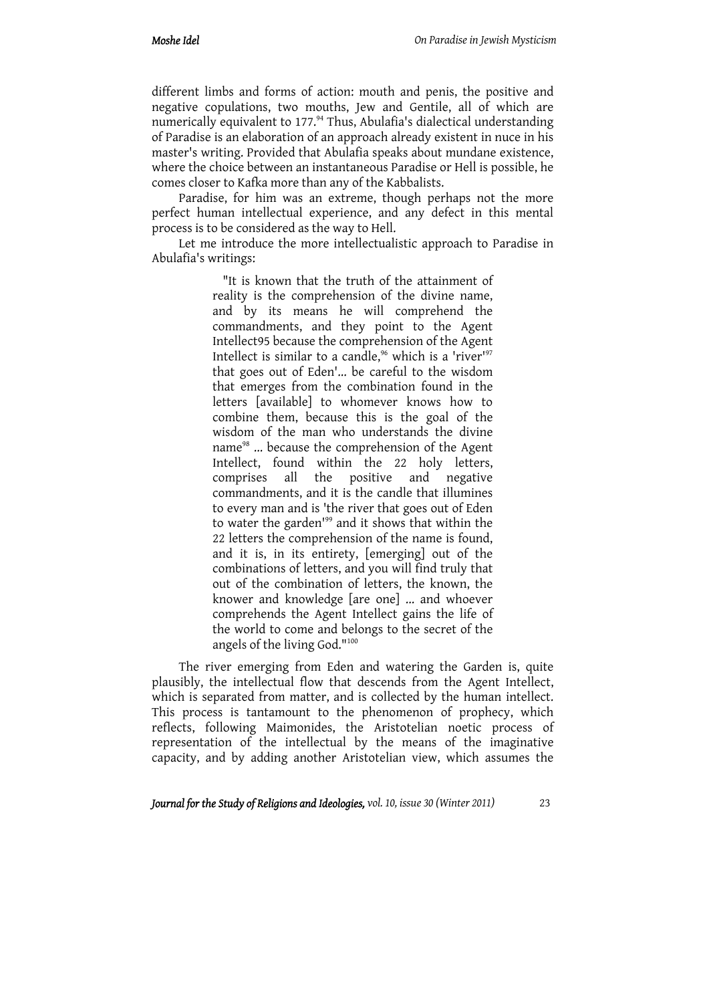different limbs and forms of action: mouth and penis, the positive and negative copulations, two mouths, Jew and Gentile, all of which are numerically equivalent to 177.94 Thus, Abulafia's dialectical understanding of Paradise is an elaboration of an approach already existent in nuce in his master's writing. Provided that Abulafia speaks about mundane existence, where the choice between an instantaneous Paradise or Hell is possible, he comes closer to Kafka more than any of the Kabbalists.

Paradise, for him was an extreme, though perhaps not the more perfect human intellectual experience, and any defect in this mental process is to be considered as the way to Hell.

Let me introduce the more intellectualistic approach to Paradise in Abulafia's writings:

> "It is known that the truth of the attainment of reality is the comprehension of the divine name, and by its means he will comprehend the commandments, and they point to the Agent Intellect95 because the comprehension of the Agent Intellect is similar to a candle,<sup>96</sup> which is a 'river'<sup>97</sup> that goes out of Eden'... be careful to the wisdom that emerges from the combination found in the letters [available] to whomever knows how to combine them, because this is the goal of the wisdom of the man who understands the divine name<sup>98</sup> ... because the comprehension of the Agent Intellect, found within the 22 holy letters, comprises all the positive and negative commandments, and it is the candle that illumines to every man and is 'the river that goes out of Eden to water the garden<sup>199</sup> and it shows that within the 22 letters the comprehension of the name is found, and it is, in its entirety, [emerging] out of the combinations of letters, and you will find truly that out of the combination of letters, the known, the knower and knowledge [are one] ... and whoever comprehends the Agent Intellect gains the life of the world to come and belongs to the secret of the angels of the living God."100

The river emerging from Eden and watering the Garden is, quite plausibly, the intellectual flow that descends from the Agent Intellect, which is separated from matter, and is collected by the human intellect. This process is tantamount to the phenomenon of prophecy, which reflects, following Maimonides, the Aristotelian noetic process of representation of the intellectual by the means of the imaginative capacity, and by adding another Aristotelian view, which assumes the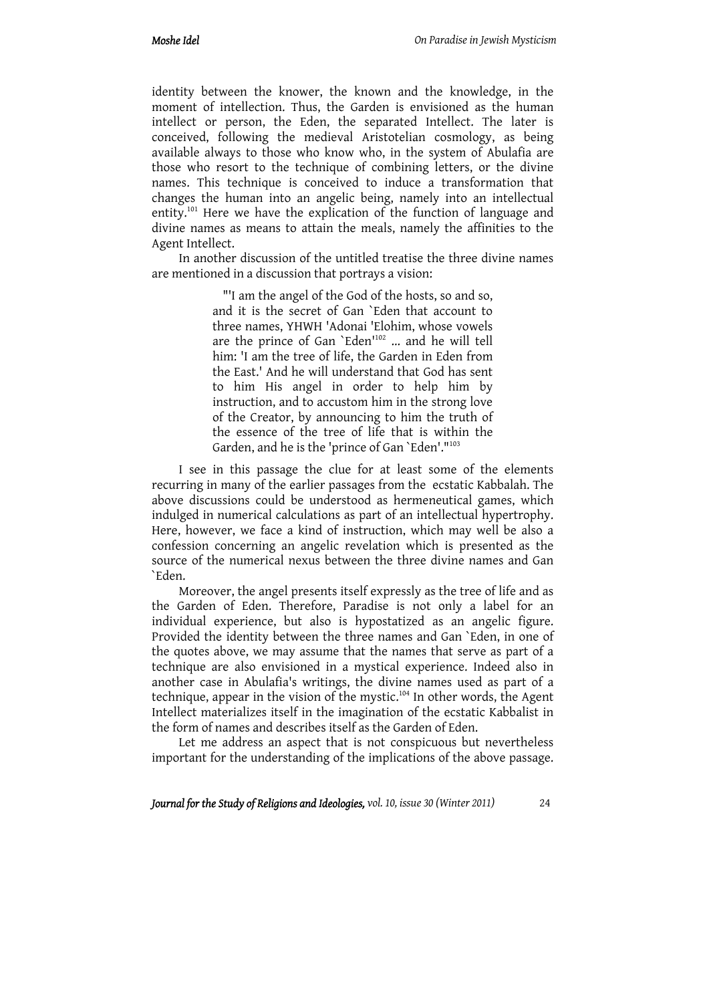identity between the knower, the known and the knowledge, in the moment of intellection. Thus, the Garden is envisioned as the human intellect or person, the Eden, the separated Intellect. The later is conceived, following the medieval Aristotelian cosmology, as being available always to those who know who, in the system of Abulafia are those who resort to the technique of combining letters, or the divine names. This technique is conceived to induce a transformation that changes the human into an angelic being, namely into an intellectual entity.101 Here we have the explication of the function of language and divine names as means to attain the meals, namely the affinities to the Agent Intellect.

In another discussion of the untitled treatise the three divine names are mentioned in a discussion that portrays a vision:

> "'I am the angel of the God of the hosts, so and so, and it is the secret of Gan `Eden that account to three names, YHWH 'Adonai 'Elohim, whose vowels are the prince of Gan `Eden'102 ... and he will tell him: 'I am the tree of life, the Garden in Eden from the East.' And he will understand that God has sent to him His angel in order to help him by instruction, and to accustom him in the strong love of the Creator, by announcing to him the truth of the essence of the tree of life that is within the Garden, and he is the 'prince of Gan `Eden'."<sup>103</sup>

I see in this passage the clue for at least some of the elements recurring in many of the earlier passages from the ecstatic Kabbalah. The above discussions could be understood as hermeneutical games, which indulged in numerical calculations as part of an intellectual hypertrophy. Here, however, we face a kind of instruction, which may well be also a confession concerning an angelic revelation which is presented as the source of the numerical nexus between the three divine names and Gan `Eden.

Moreover, the angel presents itself expressly as the tree of life and as the Garden of Eden. Therefore, Paradise is not only a label for an individual experience, but also is hypostatized as an angelic figure. Provided the identity between the three names and Gan `Eden, in one of the quotes above, we may assume that the names that serve as part of a technique are also envisioned in a mystical experience. Indeed also in another case in Abulafia's writings, the divine names used as part of a technique, appear in the vision of the mystic.<sup>104</sup> In other words, the Agent Intellect materializes itself in the imagination of the ecstatic Kabbalist in the form of names and describes itself as the Garden of Eden.

Let me address an aspect that is not conspicuous but nevertheless important for the understanding of the implications of the above passage.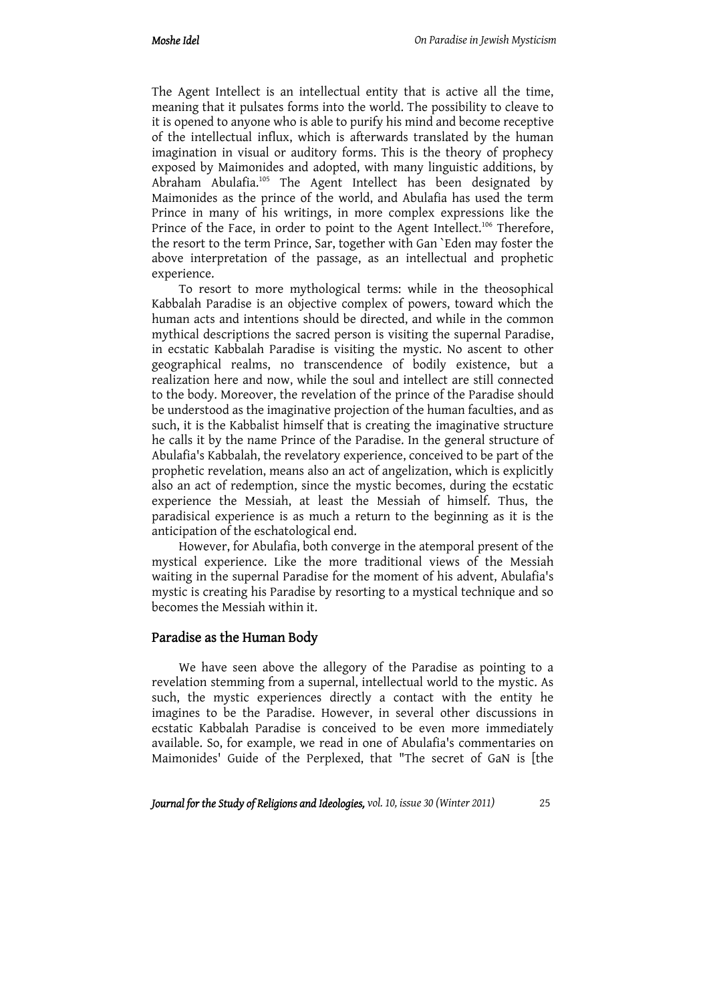The Agent Intellect is an intellectual entity that is active all the time, meaning that it pulsates forms into the world. The possibility to cleave to it is opened to anyone who is able to purify his mind and become receptive of the intellectual influx, which is afterwards translated by the human imagination in visual or auditory forms. This is the theory of prophecy exposed by Maimonides and adopted, with many linguistic additions, by Abraham Abulafia.105 The Agent Intellect has been designated by Maimonides as the prince of the world, and Abulafia has used the term Prince in many of his writings, in more complex expressions like the Prince of the Face, in order to point to the Agent Intellect.<sup>106</sup> Therefore, the resort to the term Prince, Sar, together with Gan `Eden may foster the above interpretation of the passage, as an intellectual and prophetic experience.

To resort to more mythological terms: while in the theosophical Kabbalah Paradise is an objective complex of powers, toward which the human acts and intentions should be directed, and while in the common mythical descriptions the sacred person is visiting the supernal Paradise, in ecstatic Kabbalah Paradise is visiting the mystic. No ascent to other geographical realms, no transcendence of bodily existence, but a realization here and now, while the soul and intellect are still connected to the body. Moreover, the revelation of the prince of the Paradise should be understood as the imaginative projection of the human faculties, and as such, it is the Kabbalist himself that is creating the imaginative structure he calls it by the name Prince of the Paradise. In the general structure of Abulafia's Kabbalah, the revelatory experience, conceived to be part of the prophetic revelation, means also an act of angelization, which is explicitly also an act of redemption, since the mystic becomes, during the ecstatic experience the Messiah, at least the Messiah of himself. Thus, the paradisical experience is as much a return to the beginning as it is the anticipation of the eschatological end.

However, for Abulafia, both converge in the atemporal present of the mystical experience. Like the more traditional views of the Messiah waiting in the supernal Paradise for the moment of his advent, Abulafia's mystic is creating his Paradise by resorting to a mystical technique and so becomes the Messiah within it.

### Paradise as the Human Body

We have seen above the allegory of the Paradise as pointing to a revelation stemming from a supernal, intellectual world to the mystic. As such, the mystic experiences directly a contact with the entity he imagines to be the Paradise. However, in several other discussions in ecstatic Kabbalah Paradise is conceived to be even more immediately available. So, for example, we read in one of Abulafia's commentaries on Maimonides' Guide of the Perplexed, that "The secret of GaN is [the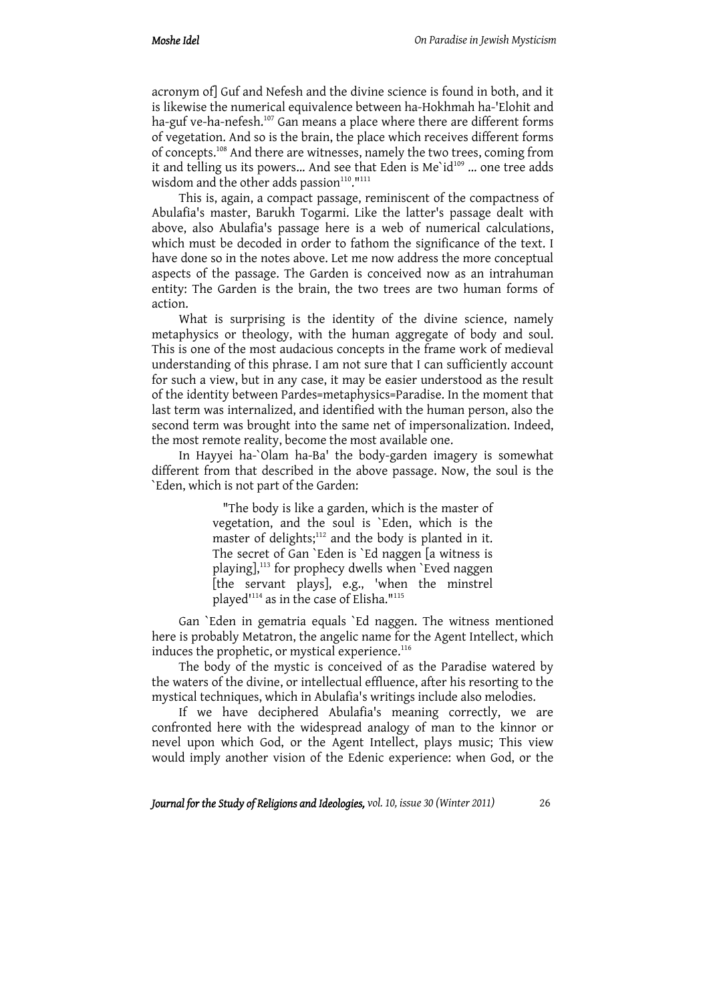acronym of] Guf and Nefesh and the divine science is found in both, and it is likewise the numerical equivalence between ha-Hokhmah ha-'Elohit and ha-guf ve-ha-nefesh.<sup>107</sup> Gan means a place where there are different forms of vegetation. And so is the brain, the place which receives different forms of concepts.108 And there are witnesses, namely the two trees, coming from it and telling us its powers... And see that Eden is Me`id<sup>109</sup> ... one tree adds wisdom and the other adds passion<sup>110</sup>."<sup>111</sup>

This is, again, a compact passage, reminiscent of the compactness of Abulafia's master, Barukh Togarmi. Like the latter's passage dealt with above, also Abulafia's passage here is a web of numerical calculations, which must be decoded in order to fathom the significance of the text. I have done so in the notes above. Let me now address the more conceptual aspects of the passage. The Garden is conceived now as an intrahuman entity: The Garden is the brain, the two trees are two human forms of action.

What is surprising is the identity of the divine science, namely metaphysics or theology, with the human aggregate of body and soul. This is one of the most audacious concepts in the frame work of medieval understanding of this phrase. I am not sure that I can sufficiently account for such a view, but in any case, it may be easier understood as the result of the identity between Pardes=metaphysics=Paradise. In the moment that last term was internalized, and identified with the human person, also the second term was brought into the same net of impersonalization. Indeed, the most remote reality, become the most available one.

In Hayyei ha-`Olam ha-Ba' the body-garden imagery is somewhat different from that described in the above passage. Now, the soul is the `Eden, which is not part of the Garden:

> "The body is like a garden, which is the master of vegetation, and the soul is `Eden, which is the master of delights; $112$  and the body is planted in it. The secret of Gan `Eden is `Ed naggen [a witness is playing],<sup>113</sup> for prophecy dwells when `Eved naggen [the servant plays], e.g., 'when the minstrel played'114 as in the case of Elisha."115

Gan `Eden in gematria equals `Ed naggen. The witness mentioned here is probably Metatron, the angelic name for the Agent Intellect, which induces the prophetic, or mystical experience. $116$ 

The body of the mystic is conceived of as the Paradise watered by the waters of the divine, or intellectual effluence, after his resorting to the mystical techniques, which in Abulafia's writings include also melodies.

If we have deciphered Abulafia's meaning correctly, we are confronted here with the widespread analogy of man to the kinnor or nevel upon which God, or the Agent Intellect, plays music; This view would imply another vision of the Edenic experience: when God, or the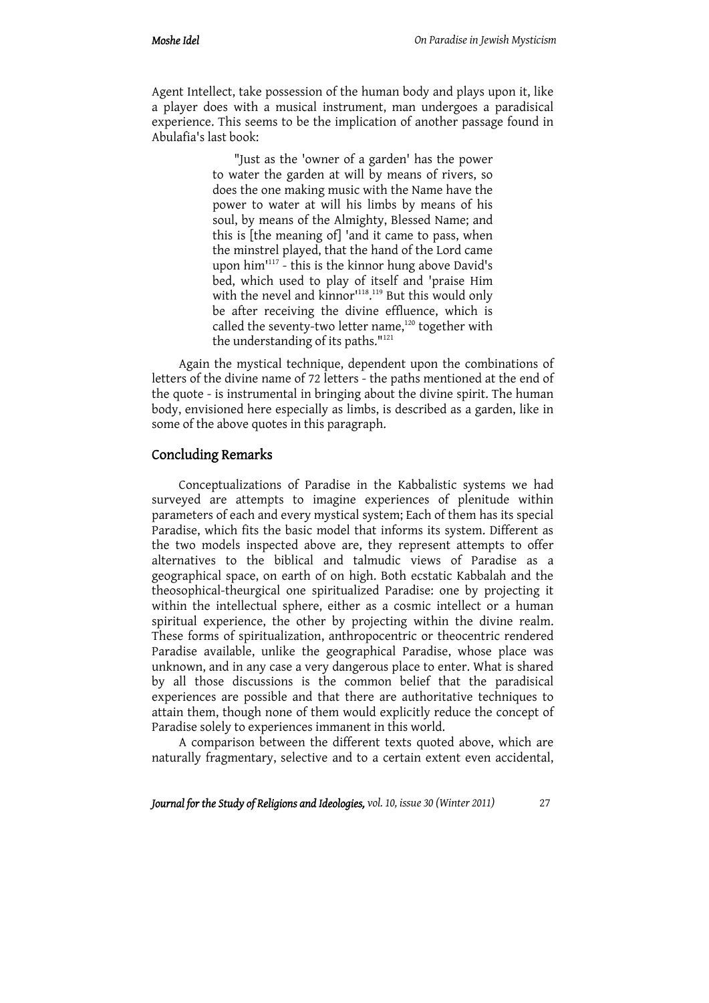Agent Intellect, take possession of the human body and plays upon it, like a player does with a musical instrument, man undergoes a paradisical experience. This seems to be the implication of another passage found in Abulafia's last book:

> "Just as the 'owner of a garden' has the power to water the garden at will by means of rivers, so does the one making music with the Name have the power to water at will his limbs by means of his soul, by means of the Almighty, Blessed Name; and this is [the meaning of] 'and it came to pass, when the minstrel played, that the hand of the Lord came upon him'117 - this is the kinnor hung above David's bed, which used to play of itself and 'praise Him with the nevel and kinnor<sup>1118</sup>.<sup>119</sup> But this would only be after receiving the divine effluence, which is called the seventy-two letter name,<sup>120</sup> together with the understanding of its paths."<sup>121</sup>

Again the mystical technique, dependent upon the combinations of letters of the divine name of 72 letters - the paths mentioned at the end of the quote - is instrumental in bringing about the divine spirit. The human body, envisioned here especially as limbs, is described as a garden, like in some of the above quotes in this paragraph.

### Concluding Remarks

Conceptualizations of Paradise in the Kabbalistic systems we had surveyed are attempts to imagine experiences of plenitude within parameters of each and every mystical system; Each of them has its special Paradise, which fits the basic model that informs its system. Different as the two models inspected above are, they represent attempts to offer alternatives to the biblical and talmudic views of Paradise as a geographical space, on earth of on high. Both ecstatic Kabbalah and the theosophical-theurgical one spiritualized Paradise: one by projecting it within the intellectual sphere, either as a cosmic intellect or a human spiritual experience, the other by projecting within the divine realm. These forms of spiritualization, anthropocentric or theocentric rendered Paradise available, unlike the geographical Paradise, whose place was unknown, and in any case a very dangerous place to enter. What is shared by all those discussions is the common belief that the paradisical experiences are possible and that there are authoritative techniques to attain them, though none of them would explicitly reduce the concept of Paradise solely to experiences immanent in this world.

A comparison between the different texts quoted above, which are naturally fragmentary, selective and to a certain extent even accidental,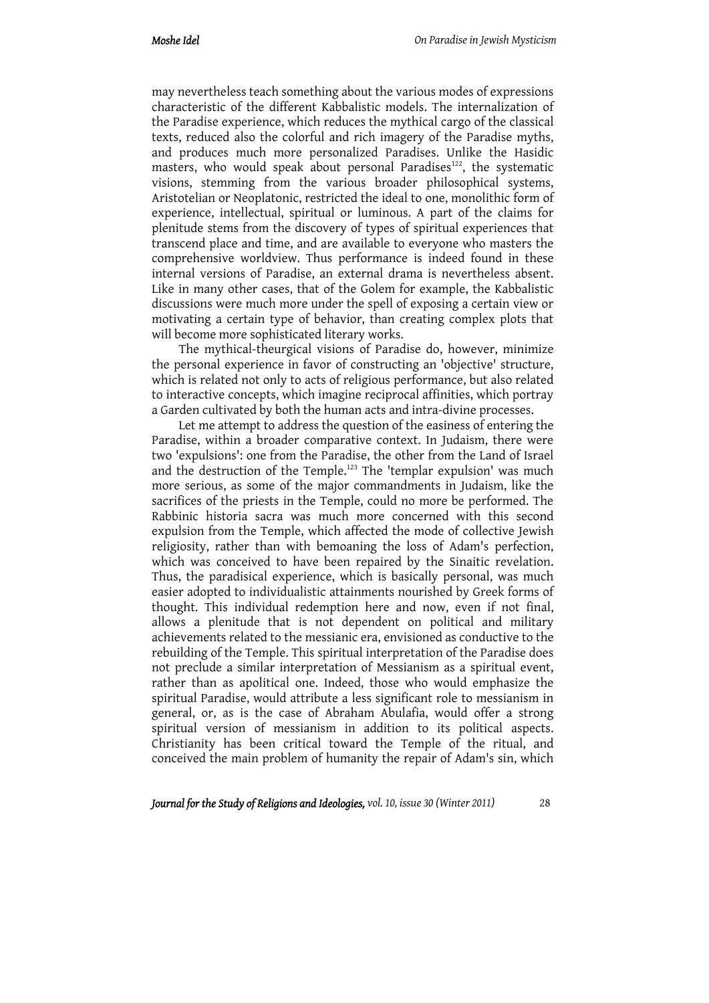may nevertheless teach something about the various modes of expressions characteristic of the different Kabbalistic models. The internalization of the Paradise experience, which reduces the mythical cargo of the classical texts, reduced also the colorful and rich imagery of the Paradise myths, and produces much more personalized Paradises. Unlike the Hasidic masters, who would speak about personal Paradises<sup>122</sup>, the systematic visions, stemming from the various broader philosophical systems, Aristotelian or Neoplatonic, restricted the ideal to one, monolithic form of experience, intellectual, spiritual or luminous. A part of the claims for plenitude stems from the discovery of types of spiritual experiences that transcend place and time, and are available to everyone who masters the comprehensive worldview. Thus performance is indeed found in these internal versions of Paradise, an external drama is nevertheless absent. Like in many other cases, that of the Golem for example, the Kabbalistic discussions were much more under the spell of exposing a certain view or motivating a certain type of behavior, than creating complex plots that will become more sophisticated literary works.

The mythical-theurgical visions of Paradise do, however, minimize the personal experience in favor of constructing an 'objective' structure, which is related not only to acts of religious performance, but also related to interactive concepts, which imagine reciprocal affinities, which portray a Garden cultivated by both the human acts and intra-divine processes.

Let me attempt to address the question of the easiness of entering the Paradise, within a broader comparative context. In Judaism, there were two 'expulsions': one from the Paradise, the other from the Land of Israel and the destruction of the Temple.<sup>123</sup> The 'templar expulsion' was much more serious, as some of the major commandments in Judaism, like the sacrifices of the priests in the Temple, could no more be performed. The Rabbinic historia sacra was much more concerned with this second expulsion from the Temple, which affected the mode of collective Jewish religiosity, rather than with bemoaning the loss of Adam's perfection, which was conceived to have been repaired by the Sinaitic revelation. Thus, the paradisical experience, which is basically personal, was much easier adopted to individualistic attainments nourished by Greek forms of thought. This individual redemption here and now, even if not final, allows a plenitude that is not dependent on political and military achievements related to the messianic era, envisioned as conductive to the rebuilding of the Temple. This spiritual interpretation of the Paradise does not preclude a similar interpretation of Messianism as a spiritual event, rather than as apolitical one. Indeed, those who would emphasize the spiritual Paradise, would attribute a less significant role to messianism in general, or, as is the case of Abraham Abulafia, would offer a strong spiritual version of messianism in addition to its political aspects. Christianity has been critical toward the Temple of the ritual, and conceived the main problem of humanity the repair of Adam's sin, which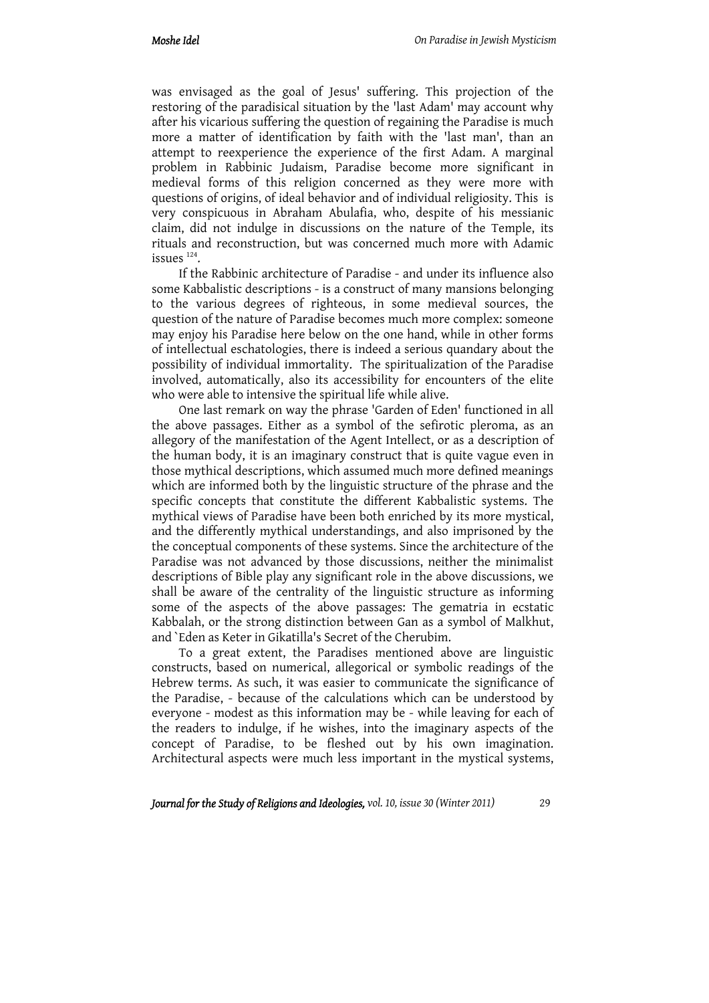was envisaged as the goal of Jesus' suffering. This projection of the restoring of the paradisical situation by the 'last Adam' may account why after his vicarious suffering the question of regaining the Paradise is much more a matter of identification by faith with the 'last man', than an attempt to reexperience the experience of the first Adam. A marginal problem in Rabbinic Judaism, Paradise become more significant in medieval forms of this religion concerned as they were more with questions of origins, of ideal behavior and of individual religiosity. This is very conspicuous in Abraham Abulafia, who, despite of his messianic claim, did not indulge in discussions on the nature of the Temple, its rituals and reconstruction, but was concerned much more with Adamic  $is$ sues  $124$ .

If the Rabbinic architecture of Paradise - and under its influence also some Kabbalistic descriptions - is a construct of many mansions belonging to the various degrees of righteous, in some medieval sources, the question of the nature of Paradise becomes much more complex: someone may enjoy his Paradise here below on the one hand, while in other forms of intellectual eschatologies, there is indeed a serious quandary about the possibility of individual immortality. The spiritualization of the Paradise involved, automatically, also its accessibility for encounters of the elite who were able to intensive the spiritual life while alive.

One last remark on way the phrase 'Garden of Eden' functioned in all the above passages. Either as a symbol of the sefirotic pleroma, as an allegory of the manifestation of the Agent Intellect, or as a description of the human body, it is an imaginary construct that is quite vague even in those mythical descriptions, which assumed much more defined meanings which are informed both by the linguistic structure of the phrase and the specific concepts that constitute the different Kabbalistic systems. The mythical views of Paradise have been both enriched by its more mystical, and the differently mythical understandings, and also imprisoned by the the conceptual components of these systems. Since the architecture of the Paradise was not advanced by those discussions, neither the minimalist descriptions of Bible play any significant role in the above discussions, we shall be aware of the centrality of the linguistic structure as informing some of the aspects of the above passages: The gematria in ecstatic Kabbalah, or the strong distinction between Gan as a symbol of Malkhut, and `Eden as Keter in Gikatilla's Secret of the Cherubim.

To a great extent, the Paradises mentioned above are linguistic constructs, based on numerical, allegorical or symbolic readings of the Hebrew terms. As such, it was easier to communicate the significance of the Paradise, - because of the calculations which can be understood by everyone - modest as this information may be - while leaving for each of the readers to indulge, if he wishes, into the imaginary aspects of the concept of Paradise, to be fleshed out by his own imagination. Architectural aspects were much less important in the mystical systems,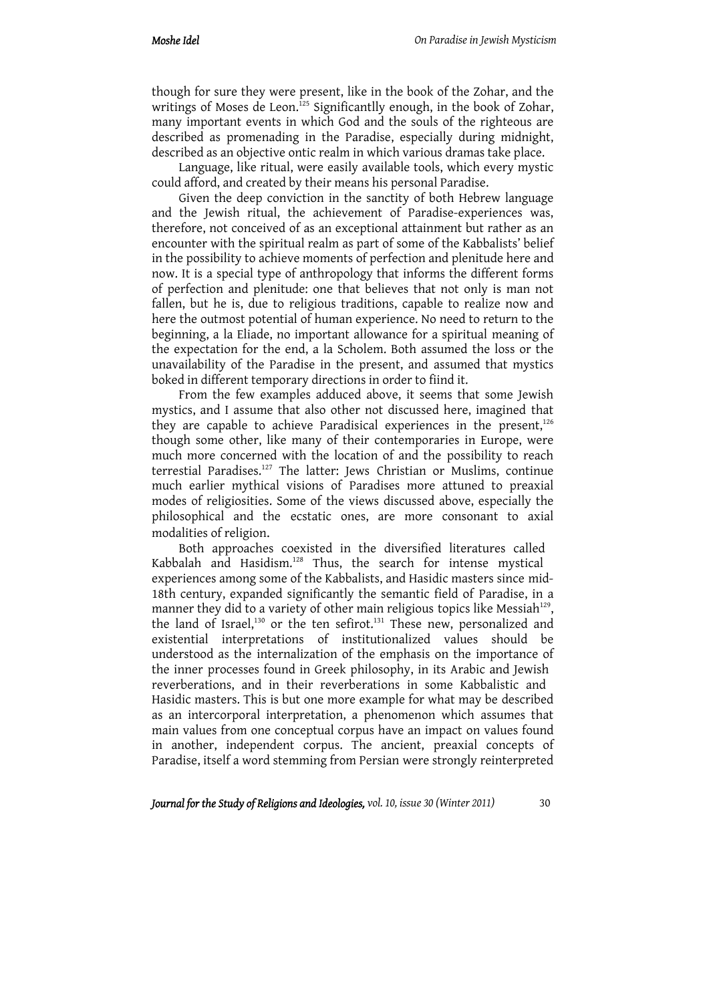though for sure they were present, like in the book of the Zohar, and the writings of Moses de Leon.<sup>125</sup> Significantlly enough, in the book of Zohar, many important events in which God and the souls of the righteous are described as promenading in the Paradise, especially during midnight, described as an objective ontic realm in which various dramas take place.

Language, like ritual, were easily available tools, which every mystic could afford, and created by their means his personal Paradise.

Given the deep conviction in the sanctity of both Hebrew language and the Jewish ritual, the achievement of Paradise-experiences was, therefore, not conceived of as an exceptional attainment but rather as an encounter with the spiritual realm as part of some of the Kabbalists' belief in the possibility to achieve moments of perfection and plenitude here and now. It is a special type of anthropology that informs the different forms of perfection and plenitude: one that believes that not only is man not fallen, but he is, due to religious traditions, capable to realize now and here the outmost potential of human experience. No need to return to the beginning, a la Eliade, no important allowance for a spiritual meaning of the expectation for the end, a la Scholem. Both assumed the loss or the unavailability of the Paradise in the present, and assumed that mystics boked in different temporary directions in order to fiind it.

From the few examples adduced above, it seems that some Jewish mystics, and I assume that also other not discussed here, imagined that they are capable to achieve Paradisical experiences in the present, $126$ though some other, like many of their contemporaries in Europe, were much more concerned with the location of and the possibility to reach terrestial Paradises.<sup>127</sup> The latter: Jews Christian or Muslims, continue much earlier mythical visions of Paradises more attuned to preaxial modes of religiosities. Some of the views discussed above, especially the philosophical and the ecstatic ones, are more consonant to axial modalities of religion.

Both approaches coexisted in the diversified literatures called Kabbalah and Hasidism.<sup>128</sup> Thus, the search for intense mystical experiences among some of the Kabbalists, and Hasidic masters since mid-18th century, expanded significantly the semantic field of Paradise, in a manner they did to a variety of other main religious topics like Messiah<sup>129</sup>, the land of Israel,<sup>130</sup> or the ten sefirot.<sup>131</sup> These new, personalized and existential interpretations of institutionalized values should be understood as the internalization of the emphasis on the importance of the inner processes found in Greek philosophy, in its Arabic and Jewish reverberations, and in their reverberations in some Kabbalistic and Hasidic masters. This is but one more example for what may be described as an intercorporal interpretation, a phenomenon which assumes that main values from one conceptual corpus have an impact on values found in another, independent corpus. The ancient, preaxial concepts of Paradise, itself a word stemming from Persian were strongly reinterpreted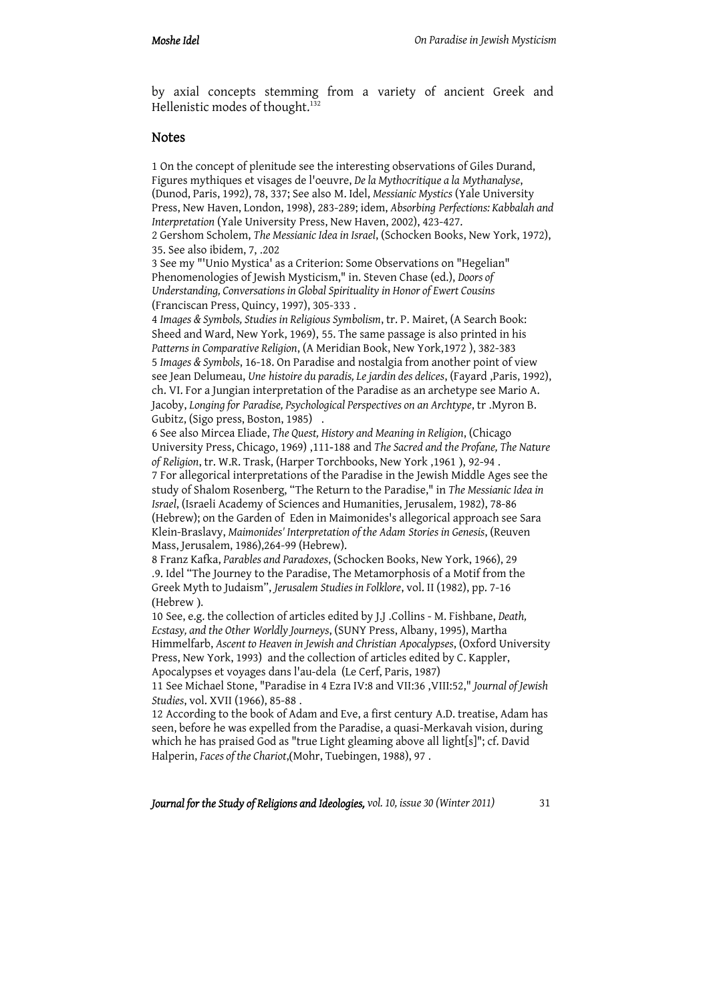by axial concepts stemming from a variety of ancient Greek and Hellenistic modes of thought.<sup>132</sup>

### **Notes**

1 On the concept of plenitude see the interesting observations of Giles Durand, Figures mythiques et visages de l'oeuvre, *De la Mythocritique a la Mythanalyse*, (Dunod, Paris, 1992), 78, 337; See also M. Idel, *Messianic Mystics* (Yale University Press, New Haven, London, 1998), 283-289; idem, *Absorbing Perfections: Kabbalah and Interpretation* (Yale University Press, New Haven, 2002), 423-427.

2 Gershom Scholem, *The Messianic Idea in Israel*, (Schocken Books, New York, 1972), 35. See also ibidem, 7, .202

3 See my "'Unio Mystica' as a Criterion: Some Observations on "Hegelian" Phenomenologies of Jewish Mysticism," in. Steven Chase (ed.), *Doors of Understanding, Conversations in Global Spirituality in Honor of Ewert Cousins* (Franciscan Press, Quincy, 1997), 305-333 .

4 *Images & Symbols, Studies in Religious Symbolism*, tr. P. Mairet, (A Search Book: Sheed and Ward, New York, 1969), 55. The same passage is also printed in his *Patterns in Comparative Religion*, (A Meridian Book, New York,1972 ), 382-383 5 *Images & Symbols*, 16-18. On Paradise and nostalgia from another point of view see Jean Delumeau, *Une histoire du paradis, Le jardin des delices*, (Fayard ,Paris, 1992), ch. VI. For a Jungian interpretation of the Paradise as an archetype see Mario A. Jacoby, *Longing for Paradise, Psychological Perspectives on an Archtype*, tr .Myron B. Gubitz, (Sigo press, Boston, 1985) .

6 See also Mircea Eliade, *The Quest, History and Meaning in Religion*, (Chicago University Press, Chicago, 1969) ,111-188 and *The Sacred and the Profane, The Nature of Religion*, tr. W.R. Trask, (Harper Torchbooks, New York ,1961 ), 92-94 . 7 For allegorical interpretations of the Paradise in the Jewish Middle Ages see the study of Shalom Rosenberg, "The Return to the Paradise," in *The Messianic Idea in Israel*, (Israeli Academy of Sciences and Humanities, Jerusalem, 1982), 78-86 (Hebrew); on the Garden of Eden in Maimonides's allegorical approach see Sara Klein-Braslavy, *Maimonides' Interpretation of the Adam Stories in Genesis*, (Reuven Mass, Jerusalem, 1986),264-99 (Hebrew).

8 Franz Kafka, *Parables and Paradoxes*, (Schocken Books, New York, 1966), 29 .9. Idel "The Journey to the Paradise, The Metamorphosis of a Motif from the Greek Myth to Judaism", *Jerusalem Studies in Folklore*, vol. II (1982), pp. 7-16 (Hebrew ).

10 See, e.g. the collection of articles edited by J.J .Collins - M. Fishbane, *Death, Ecstasy, and the Other Worldly Journeys*, (SUNY Press, Albany, 1995), Martha Himmelfarb, *Ascent to Heaven in Jewish and Christian Apocalypses*, (Oxford University Press, New York, 1993) and the collection of articles edited by C. Kappler, Apocalypses et voyages dans l'au-dela (Le Cerf, Paris, 1987)

11 See Michael Stone, "Paradise in 4 Ezra IV:8 and VII:36 ,VIII:52," *Journal of Jewish Studies*, vol. XVII (1966), 85-88 .

12 According to the book of Adam and Eve, a first century A.D. treatise, Adam has seen, before he was expelled from the Paradise, a quasi-Merkavah vision, during which he has praised God as "true Light gleaming above all light[s]"; cf. David Halperin, *Faces of the Chariot*,(Mohr, Tuebingen, 1988), 97 .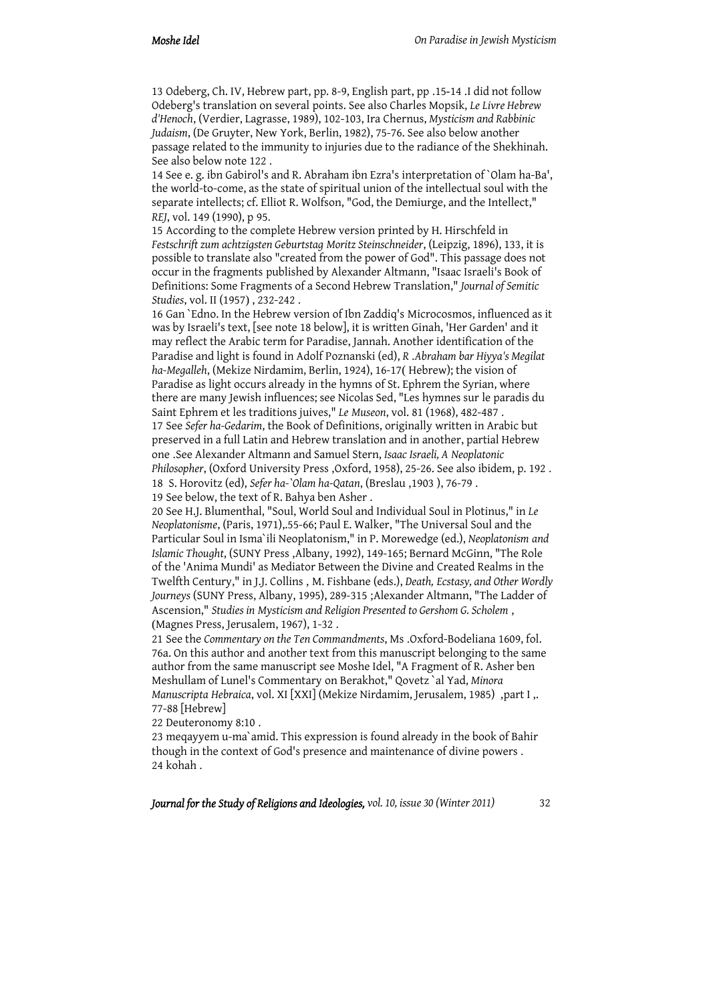13 Odeberg, Ch. IV, Hebrew part, pp. 8-9, English part, pp .15-14 .I did not follow Odeberg's translation on several points. See also Charles Mopsik, *Le Livre Hebrew d'Henoch*, (Verdier, Lagrasse, 1989), 102-103, Ira Chernus, *Mysticism and Rabbinic Judaism*, (De Gruyter, New York, Berlin, 1982), 75-76. See also below another passage related to the immunity to injuries due to the radiance of the Shekhinah. See also below note 122 .

14 See e. g. ibn Gabirol's and R. Abraham ibn Ezra's interpretation of `Olam ha-Ba', the world-to-come, as the state of spiritual union of the intellectual soul with the separate intellects; cf. Elliot R. Wolfson, "God, the Demiurge, and the Intellect," *REJ*, vol. 149 (1990), p 95.

15 According to the complete Hebrew version printed by H. Hirschfeld in *Festschrift zum achtzigsten Geburtstag Moritz Steinschneider*, (Leipzig, 1896), 133, it is possible to translate also "created from the power of God". This passage does not occur in the fragments published by Alexander Altmann, "Isaac Israeli's Book of Definitions: Some Fragments of a Second Hebrew Translation," *Journal of Semitic Studies*, vol. II (1957) , 232-242 .

16 Gan `Edno. In the Hebrew version of Ibn Zaddiq's Microcosmos, influenced as it was by Israeli's text, [see note 18 below], it is written Ginah, 'Her Garden' and it may reflect the Arabic term for Paradise, Jannah. Another identification of the Paradise and light is found in Adolf Poznanski (ed), *R* .*Abraham bar Hiyya's Megilat ha-Megalleh*, (Mekize Nirdamim, Berlin, 1924), 16-17( Hebrew); the vision of Paradise as light occurs already in the hymns of St. Ephrem the Syrian, where there are many Jewish influences; see Nicolas Sed, "Les hymnes sur le paradis du Saint Ephrem et les traditions juives," *Le Museon*, vol. 81 (1968), 482-487 . 17 See *Sefer ha-Gedarim*, the Book of Definitions, originally written in Arabic but preserved in a full Latin and Hebrew translation and in another, partial Hebrew one .See Alexander Altmann and Samuel Stern, *Isaac Israeli, A Neoplatonic Philosopher*, (Oxford University Press ,Oxford, 1958), 25-26. See also ibidem, p. 192 . 18 S. Horovitz (ed), *Sefer ha-`Olam ha-Qatan*, (Breslau ,1903 ), 76-79 .

19 See below, the text of R. Bahya ben Asher .

20 See H.J. Blumenthal, "Soul, World Soul and Individual Soul in Plotinus," in *Le Neoplatonisme*, (Paris, 1971),.55-66; Paul E. Walker, "The Universal Soul and the Particular Soul in Isma`ili Neoplatonism," in P. Morewedge (ed.), *Neoplatonism and Islamic Thought*, (SUNY Press ,Albany, 1992), 149-165; Bernard McGinn, "The Role of the 'Anima Mundi' as Mediator Between the Divine and Created Realms in the Twelfth Century," in J.J. Collins , M. Fishbane (eds.), *Death, Ecstasy, and Other Wordly Journeys* (SUNY Press, Albany, 1995), 289-315 ;Alexander Altmann, "The Ladder of Ascension," *Studies in Mysticism and Religion Presented to Gershom G. Scholem* , (Magnes Press, Jerusalem, 1967), 1-32 .

21 See the *Commentary on the Ten Commandments*, Ms .Oxford-Bodeliana 1609, fol. 76a. On this author and another text from this manuscript belonging to the same author from the same manuscript see Moshe Idel, "A Fragment of R. Asher ben Meshullam of Lunel's Commentary on Berakhot," Qovetz `al Yad, *Minora Manuscripta Hebraica*, vol. XI [XXI] (Mekize Nirdamim, Jerusalem, 1985) ,part I ,. 77-88 [Hebrew]

22 Deuteronomy 8:10 .

23 meqayyem u-ma`amid. This expression is found already in the book of Bahir though in the context of God's presence and maintenance of divine powers . 24 kohah .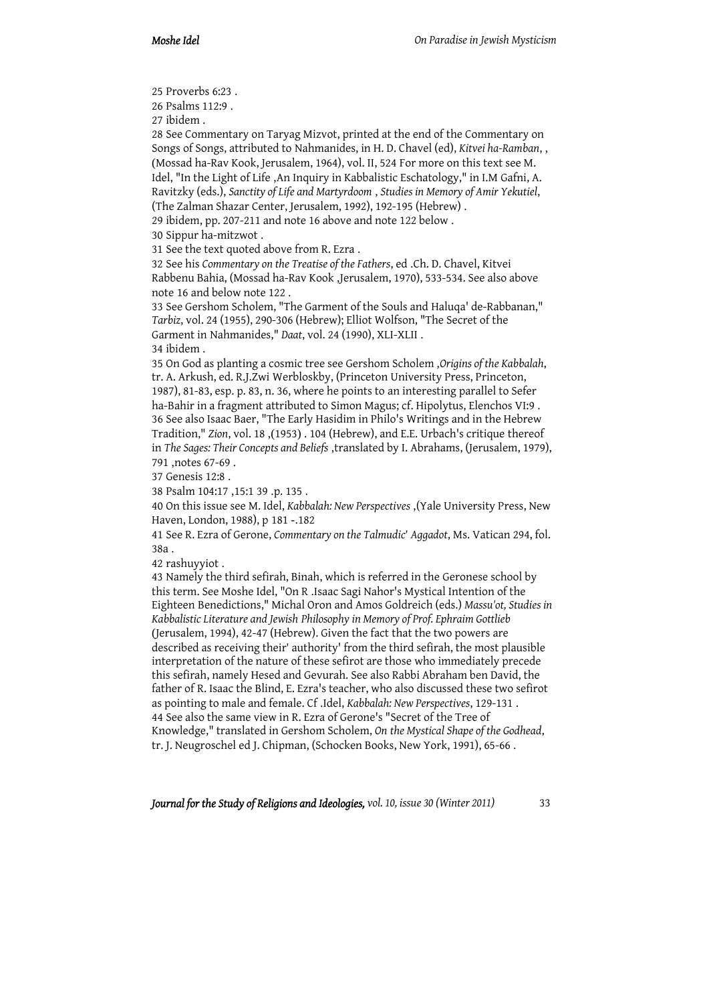25 Proverbs 6:23 .

26 Psalms 112:9 .

27 ibidem .

28 See Commentary on Taryag Mizvot, printed at the end of the Commentary on Songs of Songs, attributed to Nahmanides, in H. D. Chavel (ed), *Kitvei ha-Ramban*, , (Mossad ha-Rav Kook, Jerusalem, 1964), vol. II, 524 For more on this text see M. Idel, "In the Light of Life ,An Inquiry in Kabbalistic Eschatology," in I.M Gafni, A. Ravitzky (eds.), *Sanctity of Life and Martyrdoom* , *Studies in Memory of Amir Yekutiel*, (The Zalman Shazar Center, Jerusalem, 1992), 192-195 (Hebrew) .

29 ibidem, pp. 207-211 and note 16 above and note 122 below .

30 Sippur ha-mitzwot .

31 See the text quoted above from R. Ezra .

32 See his *Commentary on the Treatise of the Fathers*, ed .Ch. D. Chavel, Kitvei Rabbenu Bahia, (Mossad ha-Rav Kook ,Jerusalem, 1970), 533-534. See also above note 16 and below note 122 .

33 See Gershom Scholem, "The Garment of the Souls and Haluqa' de-Rabbanan," *Tarbiz*, vol. 24 (1955), 290-306 (Hebrew); Elliot Wolfson, "The Secret of the Garment in Nahmanides," *Daat*, vol. 24 (1990), XLI-XLII . 34 ibidem .

35 On God as planting a cosmic tree see Gershom Scholem ,*Origins of the Kabbalah*, tr. A. Arkush, ed. R.J.Zwi Werbloskby, (Princeton University Press, Princeton, 1987), 81-83, esp. p. 83, n. 36, where he points to an interesting parallel to Sefer ha-Bahir in a fragment attributed to Simon Magus; cf. Hipolytus, Elenchos VI:9 . 36 See also Isaac Baer, "The Early Hasidim in Philo's Writings and in the Hebrew Tradition," *Zion*, vol. 18 ,(1953) . 104 (Hebrew), and E.E. Urbach's critique thereof in *The Sages: Their Concepts and Beliefs* ,translated by I. Abrahams, (Jerusalem, 1979),

791 ,notes 67-69 .

37 Genesis 12:8 .

38 Psalm 104:17 ,15:1 39 .p. 135 .

40 On this issue see M. Idel, *Kabbalah: New Perspectives* ,(Yale University Press, New Haven, London, 1988), p 181 -.182

41 See R. Ezra of Gerone, *Commentary on the Talmudic*' *Aggadot*, Ms. Vatican 294, fol. 38a .

42 rashuyyiot .

43 Namely the third sefirah, Binah, which is referred in the Geronese school by this term. See Moshe Idel, "On R .Isaac Sagi Nahor's Mystical Intention of the Eighteen Benedictions," Michal Oron and Amos Goldreich (eds.) *Massu'ot, Studies in Kabbalistic Literature and Jewish Philosophy in Memory of Prof. Ephraim Gottlieb* (Jerusalem, 1994), 42-47 (Hebrew). Given the fact that the two powers are described as receiving their' authority' from the third sefirah, the most plausible interpretation of the nature of these sefirot are those who immediately precede this sefirah, namely Hesed and Gevurah. See also Rabbi Abraham ben David, the father of R. Isaac the Blind, E. Ezra's teacher, who also discussed these two sefirot as pointing to male and female. Cf .Idel, *Kabbalah: New Perspectives*, 129-131 . 44 See also the same view in R. Ezra of Gerone's "Secret of the Tree of Knowledge," translated in Gershom Scholem, *On the Mystical Shape of the Godhead*, tr. J. Neugroschel ed J. Chipman, (Schocken Books, New York, 1991), 65-66 .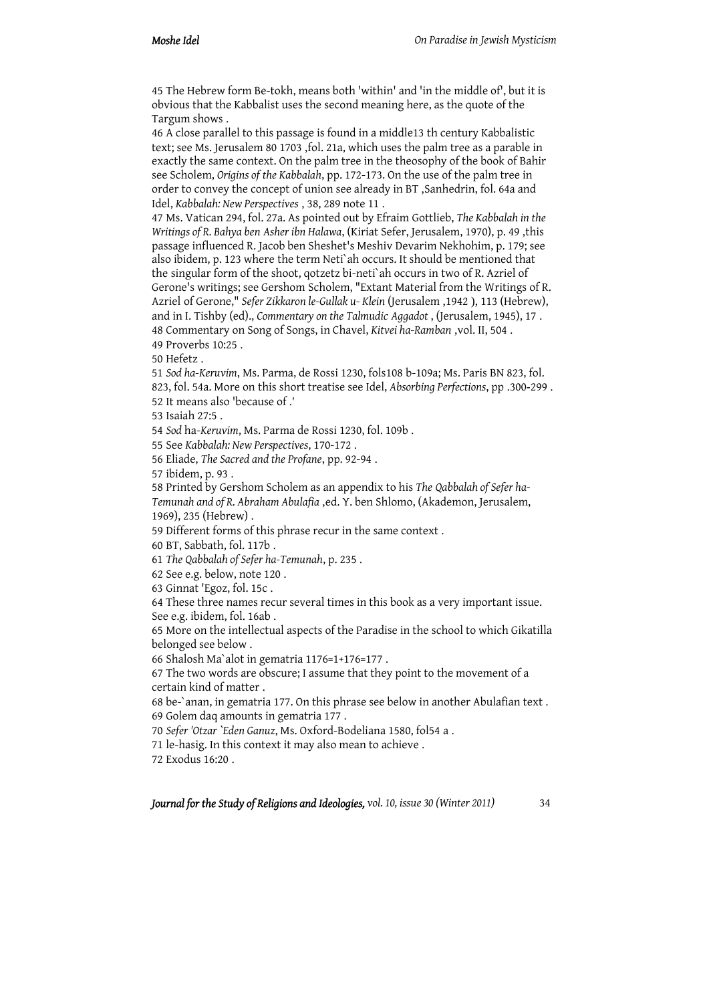45 The Hebrew form Be-tokh, means both 'within' and 'in the middle of', but it is obvious that the Kabbalist uses the second meaning here, as the quote of the Targum shows .

46 A close parallel to this passage is found in a middle13 th century Kabbalistic text; see Ms. Jerusalem 80 1703 ,fol. 21a, which uses the palm tree as a parable in exactly the same context. On the palm tree in the theosophy of the book of Bahir see Scholem, *Origins of the Kabbalah*, pp. 172-173. On the use of the palm tree in order to convey the concept of union see already in BT ,Sanhedrin, fol. 64a and Idel, *Kabbalah: New Perspectives* , 38, 289 note 11 .

47 Ms. Vatican 294, fol. 27a. As pointed out by Efraim Gottlieb, *The Kabbalah in the Writings of R. Bahya ben Asher ibn Halawa*, (Kiriat Sefer, Jerusalem, 1970), p. 49 ,this passage influenced R. Jacob ben Sheshet's Meshiv Devarim Nekhohim, p. 179; see also ibidem, p. 123 where the term Neti`ah occurs. It should be mentioned that the singular form of the shoot, qotzetz bi-neti`ah occurs in two of R. Azriel of Gerone's writings; see Gershom Scholem, "Extant Material from the Writings of R. Azriel of Gerone," *Sefer Zikkaron le-Gullak u- Klein* (Jerusalem ,1942 ), 113 (Hebrew), and in I. Tishby (ed)., *Commentary on the Talmudic Aggadot* , (Jerusalem, 1945), 17 . 48 Commentary on Song of Songs, in Chavel, *Kitvei ha-Ramban* ,vol. II, 504 . 49 Proverbs 10:25 .

50 Hefetz .

51 *Sod ha-Keruvim*, Ms. Parma, de Rossi 1230, fols108 b-109a; Ms. Paris BN 823, fol. 823, fol. 54a. More on this short treatise see Idel, *Absorbing Perfections*, pp . 300-299 . 52 It means also 'because of .'

53 Isaiah 27:5 .

54 *Sod* ha-*Keruvim*, Ms. Parma de Rossi 1230, fol. 109b .

55 See *Kabbalah: New Perspectives*, 170-172 .

56 Eliade, *The Sacred and the Profane*, pp. 92-94 .

57 ibidem, p. 93 .

58 Printed by Gershom Scholem as an appendix to his *The Qabbalah of Sefer ha-Temunah and of R. Abraham Abulafia* ,ed. Y. ben Shlomo, (Akademon, Jerusalem, 1969), 235 (Hebrew) .

59 Different forms of this phrase recur in the same context .

60 BT, Sabbath, fol. 117b .

61 *The Qabbalah of Sefer ha-Temunah*, p. 235 .

62 See e.g. below, note 120 .

63 Ginnat 'Egoz, fol. 15c .

64 These three names recur several times in this book as a very important issue.

See e.g. ibidem, fol. 16ab .

65 More on the intellectual aspects of the Paradise in the school to which Gikatilla belonged see below .

66 Shalosh Ma`alot in gematria 1176=1+176=177 .

67 The two words are obscure; I assume that they point to the movement of a certain kind of matter .

68 be-`anan, in gematria 177. On this phrase see below in another Abulafian text . 69 Golem daq amounts in gematria 177 .

70 *Sefer 'Otzar `Eden Ganuz*, Ms. Oxford-Bodeliana 1580, fol54 a .

71 le-hasig. In this context it may also mean to achieve .

72 Exodus 16:20 .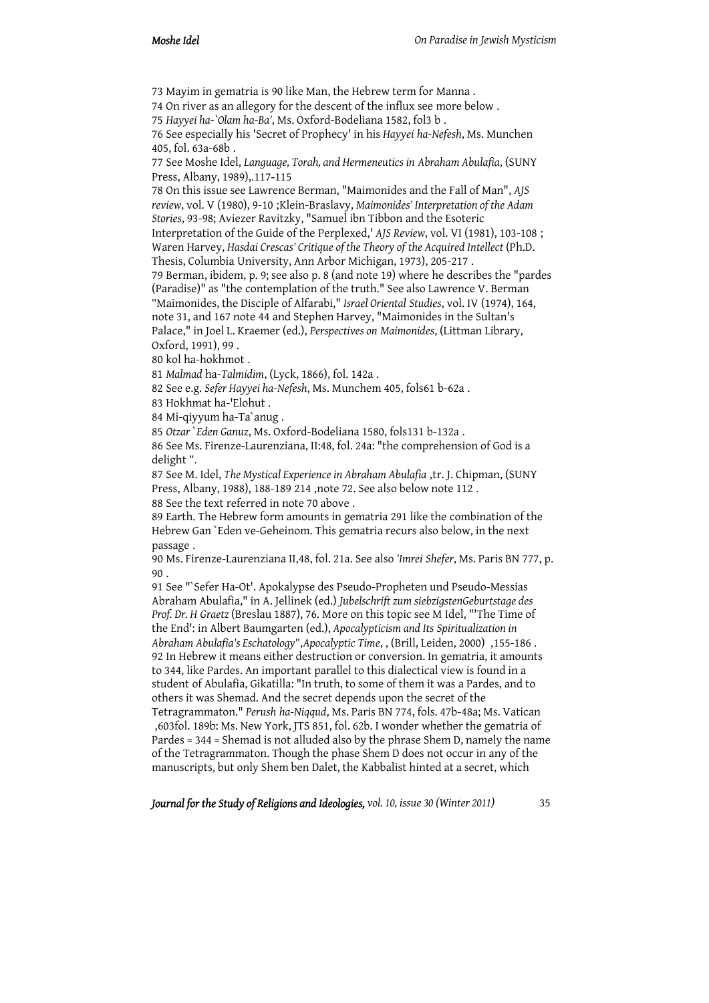73 Mayim in gematria is 90 like Man, the Hebrew term for Manna .

74 On river as an allegory for the descent of the influx see more below .

75 *Hayyei ha-`Olam ha-Ba'*, Ms. Oxford-Bodeliana 1582, fol3 b .

76 See especially his 'Secret of Prophecy' in his *Hayyei ha-Nefesh*, Ms. Munchen 405, fol. 63a-68b .

77 See Moshe Idel, *Language, Torah, and Hermeneutics in Abraham Abulafia*, (SUNY Press, Albany, 1989),. 117-115

78 On this issue see Lawrence Berman, "Maimonides and the Fall of Man", *AJS review*, vol. V (1980), 9-10 ;Klein-Braslavy, *Maimonides' Interpretation of the Adam Stories*, 93-98; Aviezer Ravitzky, "Samuel ibn Tibbon and the Esoteric Interpretation of the Guide of the Perplexed,' *AJS Review*, vol. VI (1981), 103-108 ; Waren Harvey, *Hasdai Crescas' Critique of the Theory of the Acquired Intellect* (Ph.D.

Thesis, Columbia University, Ann Arbor Michigan, 1973), 205-217 .

79 Berman, ibidem, p. 9; see also p. 8 (and note 19) where he describes the "pardes (Paradise)" as "the contemplation of the truth." See also Lawrence V. Berman "Maimonides, the Disciple of Alfarabi," *Israel Oriental Studies*, vol. IV (1974), 164, note 31, and 167 note 44 and Stephen Harvey, "Maimonides in the Sultan's Palace," in Joel L. Kraemer (ed.), *Perspectives on Maimonides*, (Littman Library, Oxford, 1991), 99 .

80 kol ha-hokhmot .

81 *Malmad* ha-*Talmidim*, (Lyck, 1866), fol. 142a .

82 See e.g. *Sefer Hayyei ha-Nefesh*, Ms. Munchem 405, fols61 b-62a .

83 Hokhmat ha-'Elohut .

84 Mi-qiyyum ha-Ta`anug .

85 *Otzar* `*Eden Ganuz*, Ms. Oxford-Bodeliana 1580, fols131 b-132a .

86 See Ms. Firenze-Laurenziana, II:48, fol. 24a: "the comprehension of God is a delight ".

87 See M. Idel, *The Mystical Experience in Abraham Abulafia* ,tr. J. Chipman, (SUNY Press, Albany, 1988), 188-189 214 ,note 72. See also below note 112 .

88 See the text referred in note 70 above .

89 Earth. The Hebrew form amounts in gematria 291 like the combination of the Hebrew Gan `Eden ve-Geheinom. This gematria recurs also below, in the next passage .

90 Ms. Firenze-Laurenziana II,48, fol. 21a. See also *'Imrei Shefer*, Ms. Paris BN 777, p. 90 .

91 See "`Sefer Ha-Ot'. Apokalypse des Pseudo-Propheten und Pseudo-Messias Abraham Abulafia," in A. Jellinek (ed.) *Jubelschrift zum siebzigstenGeburtstage des Prof. Dr. H Graetz* (Breslau 1887), 76. More on this topic see M Idel, "'The Time of the End': in Albert Baumgarten (ed.), *Apocalypticism and Its Spiritualization in Abraham Abulafia's Eschatology*",*Apocalyptic Time*, , (Brill, Leiden, 2000) ,155-186 . 92 In Hebrew it means either destruction or conversion. In gematria, it amounts to 344, like Pardes. An important parallel to this dialectical view is found in a student of Abulafia, Gikatilla: "In truth, to some of them it was a Pardes, and to others it was Shemad. And the secret depends upon the secret of the

Tetragrammaton." *Perush ha-Niqqud*, Ms. Paris BN 774, fols. 47b-48a; Ms. Vatican ,603fol. 189b: Ms. New York, JTS 851, fol. 62b. I wonder whether the gematria of Pardes = 344 = Shemad is not alluded also by the phrase Shem D, namely the name of the Tetragrammaton. Though the phase Shem D does not occur in any of the manuscripts, but only Shem ben Dalet, the Kabbalist hinted at a secret, which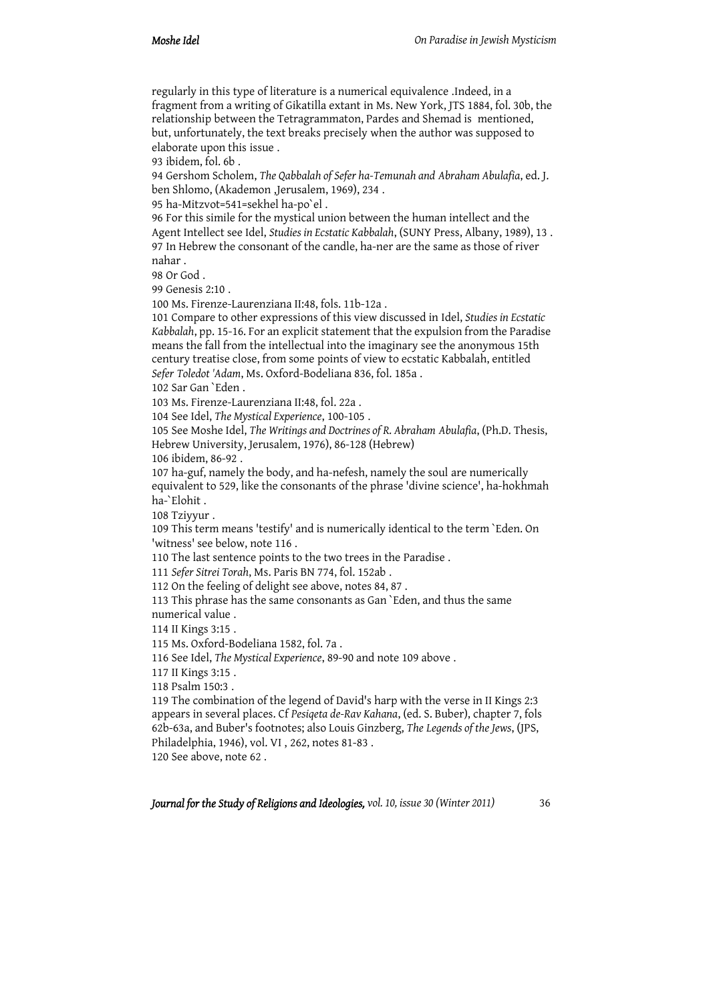regularly in this type of literature is a numerical equivalence .Indeed, in a fragment from a writing of Gikatilla extant in Ms. New York, JTS 1884, fol. 30b, the relationship between the Tetragrammaton, Pardes and Shemad is mentioned, but, unfortunately, the text breaks precisely when the author was supposed to elaborate upon this issue .

93 ibidem, fol. 6b .

94 Gershom Scholem, *The Qabbalah of Sefer ha-Temunah and Abraham Abulafia*, ed. J. ben Shlomo, (Akademon ,Jerusalem, 1969), 234 .

95 ha-Mitzvot=541=sekhel ha-po`el .

96 For this simile for the mystical union between the human intellect and the Agent Intellect see Idel, *Studies in Ecstatic Kabbalah*, (SUNY Press, Albany, 1989), 13 . 97 In Hebrew the consonant of the candle, ha-ner are the same as those of river nahar .

98 Or God .

99 Genesis 2:10 .

100 Ms. Firenze-Laurenziana II:48, fols. 11b-12a .

101 Compare to other expressions of this view discussed in Idel, *Studies in Ecstatic Kabbalah*, pp. 15-16. For an explicit statement that the expulsion from the Paradise means the fall from the intellectual into the imaginary see the anonymous 15th century treatise close, from some points of view to ecstatic Kabbalah, entitled *Sefer Toledot 'Adam*, Ms. Oxford-Bodeliana 836, fol. 185a .

102 Sar Gan `Eden .

103 Ms. Firenze-Laurenziana II:48, fol. 22a .

104 See Idel, *The Mystical Experience*, 100-105 .

105 See Moshe Idel, *The Writings and Doctrines of R. Abraham Abulafia*, (Ph.D. Thesis, Hebrew University, Jerusalem, 1976), 86-128 (Hebrew)

106 ibidem, 86-92 .

107 ha-guf, namely the body, and ha-nefesh, namely the soul are numerically equivalent to 529, like the consonants of the phrase 'divine science', ha-hokhmah ha-`Elohit .

108 Tziyyur .

109 This term means 'testify' and is numerically identical to the term `Eden. On 'witness' see below, note 116 .

110 The last sentence points to the two trees in the Paradise .

111 *Sefer Sitrei Torah*, Ms. Paris BN 774, fol. 152ab .

112 On the feeling of delight see above, notes 84, 87 .

113 This phrase has the same consonants as Gan `Eden, and thus the same numerical value .

114 II Kings 3:15 .

115 Ms. Oxford-Bodeliana 1582, fol. 7a .

116 See Idel, *The Mystical Experience*, 89-90 and note 109 above .

117 II Kings 3:15 .

118 Psalm 150:3 .

119 The combination of the legend of David's harp with the verse in II Kings 2:3 appears in several places. Cf *Pesiqeta de-Rav Kahana*, (ed. S. Buber), chapter 7, fols 62b-63a, and Buber's footnotes; also Louis Ginzberg, *The Legends of the Jews*, (JPS, Philadelphia, 1946), vol. VI , 262, notes 81-83 .

120 See above, note 62 .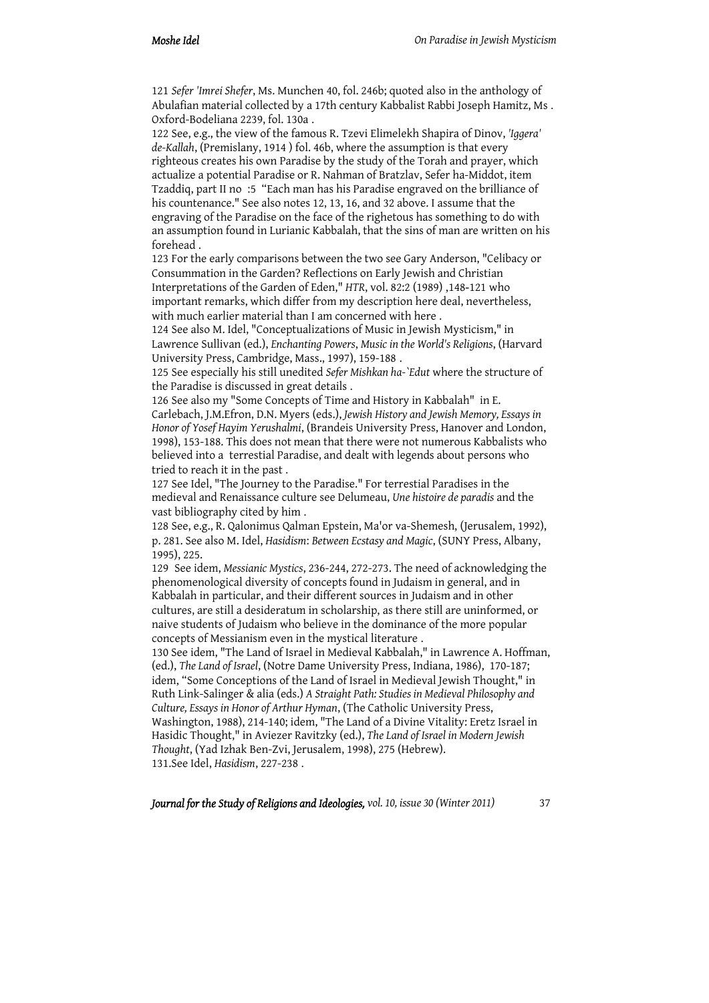121 *Sefer 'Imrei Shefer*, Ms. Munchen 40, fol. 246b; quoted also in the anthology of Abulafian material collected by a 17th century Kabbalist Rabbi Joseph Hamitz, Ms . Oxford-Bodeliana 2239, fol. 130a .

122 See, e.g., the view of the famous R. Tzevi Elimelekh Shapira of Dinov, *'Iggera' de-Kallah*, (Premislany, 1914 ) fol. 46b, where the assumption is that every righteous creates his own Paradise by the study of the Torah and prayer, which actualize a potential Paradise or R. Nahman of Bratzlav, Sefer ha-Middot, item Tzaddiq, part II no :5 "Each man has his Paradise engraved on the brilliance of his countenance." See also notes 12, 13, 16, and 32 above. I assume that the engraving of the Paradise on the face of the righetous has something to do with an assumption found in Lurianic Kabbalah, that the sins of man are written on his forehead .

123 For the early comparisons between the two see Gary Anderson, "Celibacy or Consummation in the Garden? Reflections on Early Jewish and Christian Interpretations of the Garden of Eden," *HTR*, vol. 82:2 (1989) ,148-121 who important remarks, which differ from my description here deal, nevertheless, with much earlier material than I am concerned with here .

124 See also M. Idel, "Conceptualizations of Music in Jewish Mysticism," in Lawrence Sullivan (ed.), *Enchanting Powers*, *Music in the World's Religions*, (Harvard University Press, Cambridge, Mass., 1997), 159-188 .

125 See especially his still unedited *Sefer Mishkan ha-`Edut* where the structure of the Paradise is discussed in great details .

126 See also my "Some Concepts of Time and History in Kabbalah" in E. Carlebach, J.M.Efron, D.N. Myers (eds.), *Jewish History and Jewish Memory, Essays in Honor of Yosef Hayim Yerushalmi*, (Brandeis University Press, Hanover and London, 1998), 153-188. This does not mean that there were not numerous Kabbalists who believed into a terrestial Paradise, and dealt with legends about persons who tried to reach it in the past .

127 See Idel, "The Journey to the Paradise." For terrestial Paradises in the medieval and Renaissance culture see Delumeau, *Une histoire de paradis* and the vast bibliography cited by him .

128 See, e.g., R. Qalonimus Qalman Epstein, Ma'or va-Shemesh, (Jerusalem, 1992), p. 281. See also M. Idel, *Hasidism*: *Between Ecstasy and Magic*, (SUNY Press, Albany, 1995), 225.

129 See idem, *Messianic Mystics*, 236-244, 272-273. The need of acknowledging the phenomenological diversity of concepts found in Judaism in general, and in Kabbalah in particular, and their different sources in Judaism and in other cultures, are still a desideratum in scholarship, as there still are uninformed, or naive students of Judaism who believe in the dominance of the more popular concepts of Messianism even in the mystical literature .

130 See idem, "The Land of Israel in Medieval Kabbalah," in Lawrence A. Hoffman, (ed.), *The Land of Israel*, (Notre Dame University Press, Indiana, 1986), 170-187; idem, "Some Conceptions of the Land of Israel in Medieval Jewish Thought," in Ruth Link-Salinger & alia (eds.) *A Straight Path: Studies in Medieval Philosophy and Culture, Essays in Honor of Arthur Hyman*, (The Catholic University Press, Washington, 1988), 214-140; idem, "The Land of a Divine Vitality: Eretz Israel in Hasidic Thought," in Aviezer Ravitzky (ed.), *The Land of Israel in Modern Jewish Thought*, (Yad Izhak Ben-Zvi, Jerusalem, 1998), 275 (Hebrew). 131.See Idel, *Hasidism*, 227-238 .